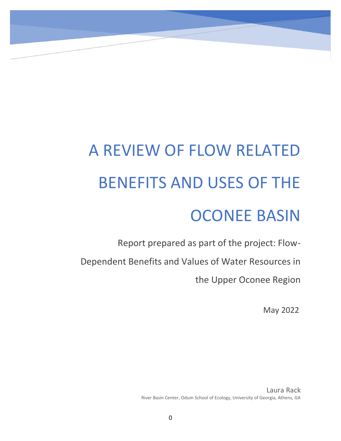# A REVIEW OF FLOW RELATED BENEFITS AND USES OF THE OCONEE BASIN

Report prepared as part of the project: Flow-Dependent Benefits and Values of Water Resources in the Upper Oconee Region

May 2022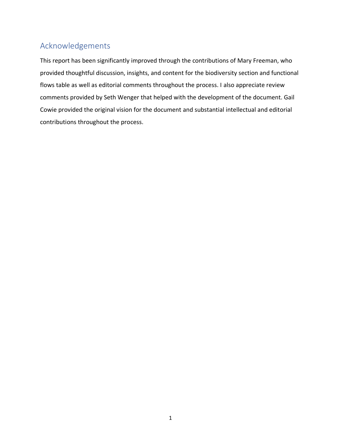# <span id="page-1-0"></span>Acknowledgements

This report has been significantly improved through the contributions of Mary Freeman, who provided thoughtful discussion, insights, and content for the biodiversity section and functional flows table as well as editorial comments throughout the process. I also appreciate review comments provided by Seth Wenger that helped with the development of the document. Gail Cowie provided the original vision for the document and substantial intellectual and editorial contributions throughout the process.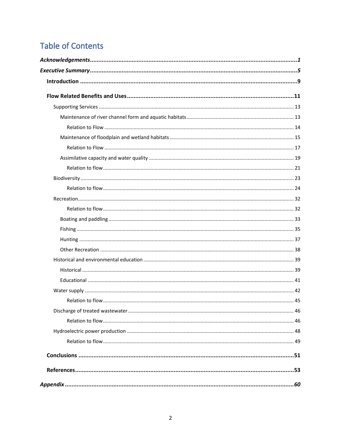# **Table of Contents**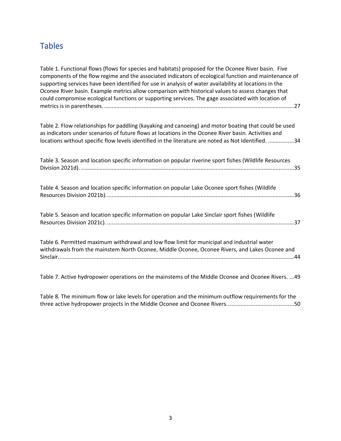# **Tables**

[Table 1. Functional flows \(flows for species and habitats\) proposed for the Oconee River basin. Five](#page-27-0)  [components of the flow regime and the associated indicators of ecological function and maintenance of](#page-27-0)  [supporting services have been identified for use in analysis of water availability at locations in the](#page-27-0)  [Oconee River basin. Example metrics allow comparison with historical values to assess changes that](#page-27-0)  [could compromise ecological functions or supporting services. The gage associated with location of](#page-27-0)  metrics is in parentheses. [............................................................................................................................27](#page-27-0)

[Table 2. Flow relationships for paddling \(kayaking and canoeing\) and motor boating that could be used](#page-34-0)  [as indicators under scenarios of future flows at locations in the Oconee River basin. Activities and](#page-34-0)  [locations without specific flow levels identified in the literature are noted as Not Identified.](#page-34-0) .................34

| Table 3. Season and location specific information on popular riverine sport fishes (Wildlife Resources                                                                                        |  |
|-----------------------------------------------------------------------------------------------------------------------------------------------------------------------------------------------|--|
| Table 4. Season and location specific information on popular Lake Oconee sport fishes (Wildlife                                                                                               |  |
| Table 5. Season and location specific information on popular Lake Sinclair sport fishes (Wildlife                                                                                             |  |
| Table 6. Permitted maximum withdrawal and low flow limit for municipal and industrial water<br>withdrawals from the mainstem North Oconee, Middle Oconee, Oconee Rivers, and Lakes Oconee and |  |

[Table 7. Active hydropower operations on the mainstems of the Middle Oconee and Oconee Rivers.](#page-49-1) ...49

[Table 8. The minimum flow or lake levels for operation and the minimum outflow requirements for the](#page-50-0)  [three active hydropower projects in the Middle Oconee and Oconee Rivers............................................50](#page-50-0)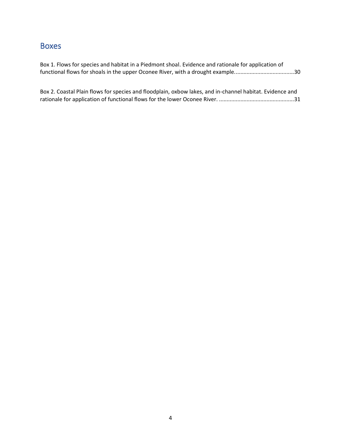# Boxes

[Box 1. Flows for species and habitat in a Piedmont shoal. Evidence and rationale for application of](file://///Users/laurarack/Desktop/A%20Review%20of%20Flow%20Related%20Benefits%20and%20Uses%20of%20the%20Oconee%20Basin.docx%23_Toc102736346)  [functional flows for shoals in the upper Oconee River, with a drought example.......................................30](file://///Users/laurarack/Desktop/A%20Review%20of%20Flow%20Related%20Benefits%20and%20Uses%20of%20the%20Oconee%20Basin.docx%23_Toc102736346)

[Box 2. Coastal Plain flows for species and floodplain, oxbow lakes, and in-channel habitat. Evidence and](file://///Users/laurarack/Desktop/A%20Review%20of%20Flow%20Related%20Benefits%20and%20Uses%20of%20the%20Oconee%20Basin.docx%23_Toc102736347)  [rationale for application of functional flows for the lower Oconee River.](file://///Users/laurarack/Desktop/A%20Review%20of%20Flow%20Related%20Benefits%20and%20Uses%20of%20the%20Oconee%20Basin.docx%23_Toc102736347) .................................................31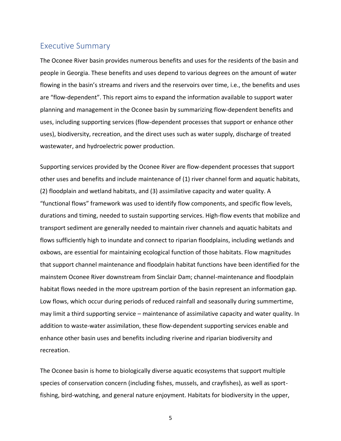# <span id="page-5-0"></span>Executive Summary

The Oconee River basin provides numerous benefits and uses for the residents of the basin and people in Georgia. These benefits and uses depend to various degrees on the amount of water flowing in the basin's streams and rivers and the reservoirs over time, i.e., the benefits and uses are "flow-dependent". This report aims to expand the information available to support water planning and management in the Oconee basin by summarizing flow-dependent benefits and uses, including supporting services (flow-dependent processes that support or enhance other uses), biodiversity, recreation, and the direct uses such as water supply, discharge of treated wastewater, and hydroelectric power production.

Supporting services provided by the Oconee River are flow-dependent processes that support other uses and benefits and include maintenance of (1) river channel form and aquatic habitats, (2) floodplain and wetland habitats, and (3) assimilative capacity and water quality. A "functional flows" framework was used to identify flow components, and specific flow levels, durations and timing, needed to sustain supporting services. High-flow events that mobilize and transport sediment are generally needed to maintain river channels and aquatic habitats and flows sufficiently high to inundate and connect to riparian floodplains, including wetlands and oxbows, are essential for maintaining ecological function of those habitats. Flow magnitudes that support channel maintenance and floodplain habitat functions have been identified for the mainstem Oconee River downstream from Sinclair Dam; channel-maintenance and floodplain habitat flows needed in the more upstream portion of the basin represent an information gap. Low flows, which occur during periods of reduced rainfall and seasonally during summertime, may limit a third supporting service – maintenance of assimilative capacity and water quality. In addition to waste-water assimilation, these flow-dependent supporting services enable and enhance other basin uses and benefits including riverine and riparian biodiversity and recreation.

The Oconee basin is home to biologically diverse aquatic ecosystems that support multiple species of conservation concern (including fishes, mussels, and crayfishes), as well as sportfishing, bird-watching, and general nature enjoyment. Habitats for biodiversity in the upper,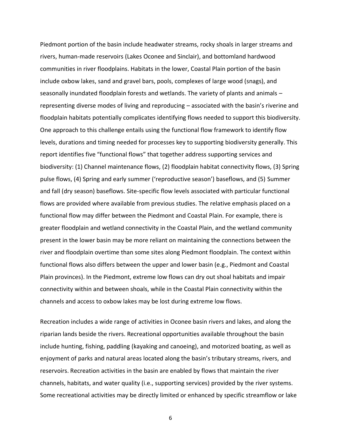Piedmont portion of the basin include headwater streams, rocky shoals in larger streams and rivers, human-made reservoirs (Lakes Oconee and Sinclair), and bottomland hardwood communities in river floodplains. Habitats in the lower, Coastal Plain portion of the basin include oxbow lakes, sand and gravel bars, pools, complexes of large wood (snags), and seasonally inundated floodplain forests and wetlands. The variety of plants and animals – representing diverse modes of living and reproducing – associated with the basin's riverine and floodplain habitats potentially complicates identifying flows needed to support this biodiversity. One approach to this challenge entails using the functional flow framework to identify flow levels, durations and timing needed for processes key to supporting biodiversity generally. This report identifies five "functional flows" that together address supporting services and biodiversity: (1) Channel maintenance flows, (2) floodplain habitat connectivity flows, (3) Spring pulse flows, (4) Spring and early summer ('reproductive season') baseflows, and (5) Summer and fall (dry season) baseflows. Site-specific flow levels associated with particular functional flows are provided where available from previous studies. The relative emphasis placed on a functional flow may differ between the Piedmont and Coastal Plain. For example, there is greater floodplain and wetland connectivity in the Coastal Plain, and the wetland community present in the lower basin may be more reliant on maintaining the connections between the river and floodplain overtime than some sites along Piedmont floodplain. The context within functional flows also differs between the upper and lower basin (e.g., Piedmont and Coastal Plain provinces). In the Piedmont, extreme low flows can dry out shoal habitats and impair connectivity within and between shoals, while in the Coastal Plain connectivity within the channels and access to oxbow lakes may be lost during extreme low flows.

Recreation includes a wide range of activities in Oconee basin rivers and lakes, and along the riparian lands beside the rivers. Recreational opportunities available throughout the basin include hunting, fishing, paddling (kayaking and canoeing), and motorized boating, as well as enjoyment of parks and natural areas located along the basin's tributary streams, rivers, and reservoirs. Recreation activities in the basin are enabled by flows that maintain the river channels, habitats, and water quality (i.e., supporting services) provided by the river systems. Some recreational activities may be directly limited or enhanced by specific streamflow or lake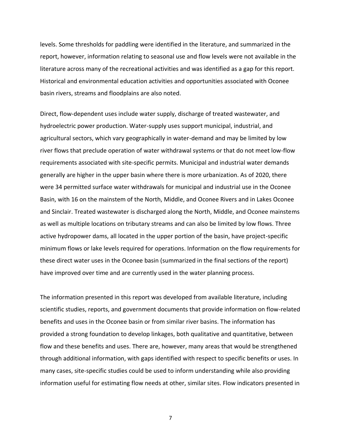levels. Some thresholds for paddling were identified in the literature, and summarized in the report, however, information relating to seasonal use and flow levels were not available in the literature across many of the recreational activities and was identified as a gap for this report. Historical and environmental education activities and opportunities associated with Oconee basin rivers, streams and floodplains are also noted.

Direct, flow-dependent uses include water supply, discharge of treated wastewater, and hydroelectric power production. Water-supply uses support municipal, industrial, and agricultural sectors, which vary geographically in water-demand and may be limited by low river flows that preclude operation of water withdrawal systems or that do not meet low-flow requirements associated with site-specific permits. Municipal and industrial water demands generally are higher in the upper basin where there is more urbanization. As of 2020, there were 34 permitted surface water withdrawals for municipal and industrial use in the Oconee Basin, with 16 on the mainstem of the North, Middle, and Oconee Rivers and in Lakes Oconee and Sinclair. Treated wastewater is discharged along the North, Middle, and Oconee mainstems as well as multiple locations on tributary streams and can also be limited by low flows. Three active hydropower dams, all located in the upper portion of the basin, have project-specific minimum flows or lake levels required for operations. Information on the flow requirements for these direct water uses in the Oconee basin (summarized in the final sections of the report) have improved over time and are currently used in the water planning process.

The information presented in this report was developed from available literature, including scientific studies, reports, and government documents that provide information on flow-related benefits and uses in the Oconee basin or from similar river basins. The information has provided a strong foundation to develop linkages, both qualitative and quantitative, between flow and these benefits and uses. There are, however, many areas that would be strengthened through additional information, with gaps identified with respect to specific benefits or uses. In many cases, site-specific studies could be used to inform understanding while also providing information useful for estimating flow needs at other, similar sites. Flow indicators presented in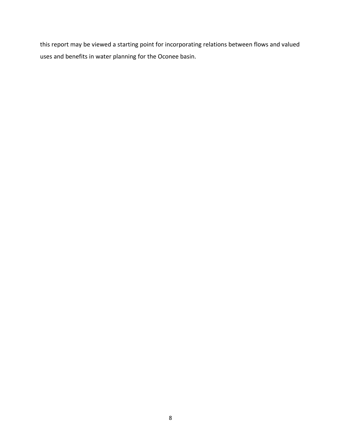this report may be viewed a starting point for incorporating relations between flows and valued uses and benefits in water planning for the Oconee basin.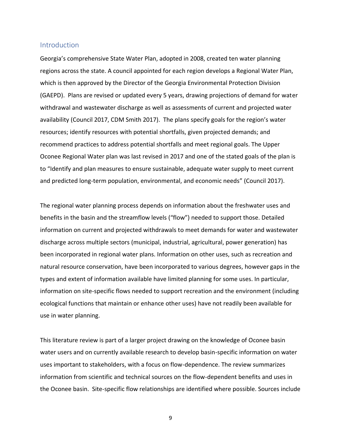## <span id="page-9-0"></span>Introduction

Georgia's comprehensive State Water Plan, adopted in 2008, created ten water planning regions across the state. A council appointed for each region develops a Regional Water Plan, which is then approved by the Director of the Georgia Environmental Protection Division (GAEPD). Plans are revised or updated every 5 years, drawing projections of demand for water withdrawal and wastewater discharge as well as assessments of current and projected water availability (Council 2017, CDM Smith 2017). The plans specify goals for the region's water resources; identify resources with potential shortfalls, given projected demands; and recommend practices to address potential shortfalls and meet regional goals. The Upper Oconee Regional Water plan was last revised in 2017 and one of the stated goals of the plan is to "Identify and plan measures to ensure sustainable, adequate water supply to meet current and predicted long-term population, environmental, and economic needs" (Council 2017).

The regional water planning process depends on information about the freshwater uses and benefits in the basin and the streamflow levels ("flow") needed to support those. Detailed information on current and projected withdrawals to meet demands for water and wastewater discharge across multiple sectors (municipal, industrial, agricultural, power generation) has been incorporated in regional water plans. Information on other uses, such as recreation and natural resource conservation, have been incorporated to various degrees, however gaps in the types and extent of information available have limited planning for some uses. In particular, information on site-specific flows needed to support recreation and the environment (including ecological functions that maintain or enhance other uses) have not readily been available for use in water planning.

This literature review is part of a larger project drawing on the knowledge of Oconee basin water users and on currently available research to develop basin-specific information on water uses important to stakeholders, with a focus on flow-dependence. The review summarizes information from scientific and technical sources on the flow-dependent benefits and uses in the Oconee basin. Site-specific flow relationships are identified where possible. Sources include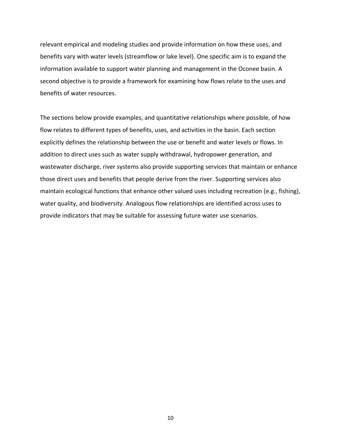relevant empirical and modeling studies and provide information on how these uses, and benefits vary with water levels (streamflow or lake level). One specific aim is to expand the information available to support water planning and management in the Oconee basin. A second objective is to provide a framework for examining how flows relate to the uses and benefits of water resources.

The sections below provide examples, and quantitative relationships where possible, of how flow relates to different types of benefits, uses, and activities in the basin. Each section explicitly defines the relationship between the use or benefit and water levels or flows. In addition to direct uses such as water supply withdrawal, hydropower generation, and wastewater discharge, river systems also provide supporting services that maintain or enhance those direct uses and benefits that people derive from the river. Supporting services also maintain ecological functions that enhance other valued uses including recreation (e.g., fishing), water quality, and biodiversity. Analogous flow relationships are identified across uses to provide indicators that may be suitable for assessing future water use scenarios.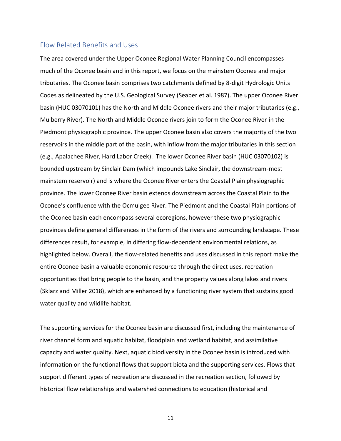# <span id="page-11-0"></span>Flow Related Benefits and Uses

The area covered under the Upper Oconee Regional Water Planning Council encompasses much of the Oconee basin and in this report, we focus on the mainstem Oconee and major tributaries. The Oconee basin comprises two catchments defined by 8-digit Hydrologic Units Codes as delineated by the U.S. Geological Survey (Seaber et al. 1987). The upper Oconee River basin (HUC 03070101) has the North and Middle Oconee rivers and their major tributaries (e.g., Mulberry River). The North and Middle Oconee rivers join to form the Oconee River in the Piedmont physiographic province. The upper Oconee basin also covers the majority of the two reservoirs in the middle part of the basin, with inflow from the major tributaries in this section (e.g., Apalachee River, Hard Labor Creek). The lower Oconee River basin (HUC 03070102) is bounded upstream by Sinclair Dam (which impounds Lake Sinclair, the downstream-most mainstem reservoir) and is where the Oconee River enters the Coastal Plain physiographic province. The lower Oconee River basin extends downstream across the Coastal Plain to the Oconee's confluence with the Ocmulgee River. The Piedmont and the Coastal Plain portions of the Oconee basin each encompass several ecoregions, however these two physiographic provinces define general differences in the form of the rivers and surrounding landscape. These differences result, for example, in differing flow-dependent environmental relations, as highlighted below. Overall, the flow-related benefits and uses discussed in this report make the entire Oconee basin a valuable economic resource through the direct uses, recreation opportunities that bring people to the basin, and the property values along lakes and rivers (Sklarz and Miller 2018), which are enhanced by a functioning river system that sustains good water quality and wildlife habitat.

The supporting services for the Oconee basin are discussed first, including the maintenance of river channel form and aquatic habitat, floodplain and wetland habitat, and assimilative capacity and water quality. Next, aquatic biodiversity in the Oconee basin is introduced with information on the functional flows that support biota and the supporting services. Flows that support different types of recreation are discussed in the recreation section, followed by historical flow relationships and watershed connections to education (historical and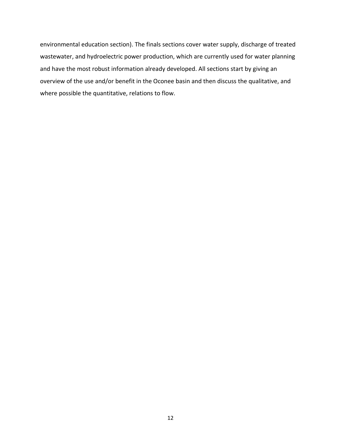environmental education section). The finals sections cover water supply, discharge of treated wastewater, and hydroelectric power production, which are currently used for water planning and have the most robust information already developed. All sections start by giving an overview of the use and/or benefit in the Oconee basin and then discuss the qualitative, and where possible the quantitative, relations to flow.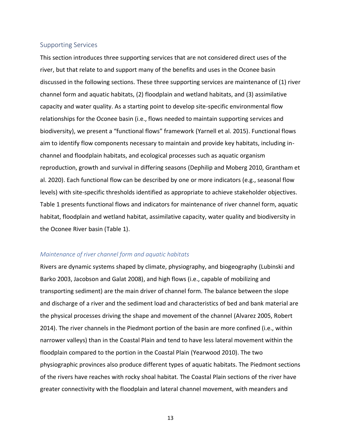#### <span id="page-13-0"></span>Supporting Services

This section introduces three supporting services that are not considered direct uses of the river, but that relate to and support many of the benefits and uses in the Oconee basin discussed in the following sections. These three supporting services are maintenance of (1) river channel form and aquatic habitats, (2) floodplain and wetland habitats, and (3) assimilative capacity and water quality. As a starting point to develop site-specific environmental flow relationships for the Oconee basin (i.e., flows needed to maintain supporting services and biodiversity), we present a "functional flows" framework (Yarnell et al. 2015). Functional flows aim to identify flow components necessary to maintain and provide key habitats, including inchannel and floodplain habitats, and ecological processes such as aquatic organism reproduction, growth and survival in differing seasons (Dephilip and Moberg 2010, Grantham et al. 2020). Each functional flow can be described by one or more indicators (e.g., seasonal flow levels) with site-specific thresholds identified as appropriate to achieve stakeholder objectives. [Table 1](#page-27-0) presents functional flows and indicators for maintenance of river channel form, aquatic habitat, floodplain and wetland habitat, assimilative capacity, water quality and biodiversity in the Oconee River basin [\(Table 1\)](#page-27-0).

#### <span id="page-13-1"></span>*Maintenance of river channel form and aquatic habitats*

Rivers are dynamic systems shaped by climate, physiography, and biogeography (Lubinski and Barko 2003, Jacobson and Galat 2008), and high flows (i.e., capable of mobilizing and transporting sediment) are the main driver of channel form. The balance between the slope and discharge of a river and the sediment load and characteristics of bed and bank material are the physical processes driving the shape and movement of the channel (Alvarez 2005, Robert 2014). The river channels in the Piedmont portion of the basin are more confined (i.e., within narrower valleys) than in the Coastal Plain and tend to have less lateral movement within the floodplain compared to the portion in the Coastal Plain (Yearwood 2010). The two physiographic provinces also produce different types of aquatic habitats. The Piedmont sections of the rivers have reaches with rocky shoal habitat. The Coastal Plain sections of the river have greater connectivity with the floodplain and lateral channel movement, with meanders and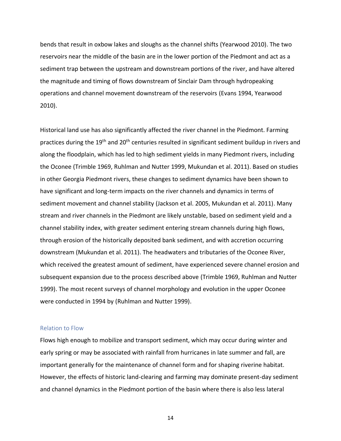bends that result in oxbow lakes and sloughs as the channel shifts (Yearwood 2010). The two reservoirs near the middle of the basin are in the lower portion of the Piedmont and act as a sediment trap between the upstream and downstream portions of the river, and have altered the magnitude and timing of flows downstream of Sinclair Dam through hydropeaking operations and channel movement downstream of the reservoirs (Evans 1994, Yearwood 2010).

Historical land use has also significantly affected the river channel in the Piedmont. Farming practices during the 19<sup>th</sup> and 20<sup>th</sup> centuries resulted in significant sediment buildup in rivers and along the floodplain, which has led to high sediment yields in many Piedmont rivers, including the Oconee (Trimble 1969, Ruhlman and Nutter 1999, Mukundan et al. 2011). Based on studies in other Georgia Piedmont rivers, these changes to sediment dynamics have been shown to have significant and long-term impacts on the river channels and dynamics in terms of sediment movement and channel stability (Jackson et al. 2005, Mukundan et al. 2011). Many stream and river channels in the Piedmont are likely unstable, based on sediment yield and a channel stability index, with greater sediment entering stream channels during high flows, through erosion of the historically deposited bank sediment, and with accretion occurring downstream (Mukundan et al. 2011). The headwaters and tributaries of the Oconee River, which received the greatest amount of sediment, have experienced severe channel erosion and subsequent expansion due to the process described above (Trimble 1969, Ruhlman and Nutter 1999). The most recent surveys of channel morphology and evolution in the upper Oconee were conducted in 1994 by (Ruhlman and Nutter 1999).

#### <span id="page-14-0"></span>Relation to Flow

Flows high enough to mobilize and transport sediment, which may occur during winter and early spring or may be associated with rainfall from hurricanes in late summer and fall, are important generally for the maintenance of channel form and for shaping riverine habitat. However, the effects of historic land-clearing and farming may dominate present-day sediment and channel dynamics in the Piedmont portion of the basin where there is also less lateral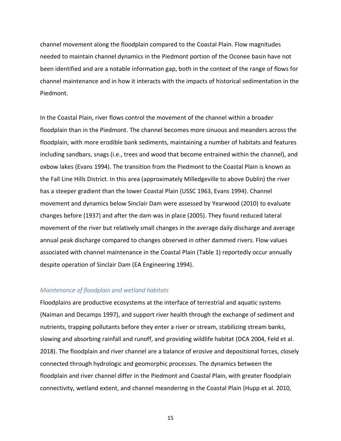channel movement along the floodplain compared to the Coastal Plain. Flow magnitudes needed to maintain channel dynamics in the Piedmont portion of the Oconee basin have not been identified and are a notable information gap, both in the context of the range of flows for channel maintenance and in how it interacts with the impacts of historical sedimentation in the Piedmont.

In the Coastal Plain, river flows control the movement of the channel within a broader floodplain than in the Piedmont. The channel becomes more sinuous and meanders across the floodplain, with more erodible bank sediments, maintaining a number of habitats and features including sandbars, snags (i.e., trees and wood that become entrained within the channel), and oxbow lakes (Evans 1994). The transition from the Piedmont to the Coastal Plain is known as the Fall Line Hills District. In this area (approximately Milledgeville to above Dublin) the river has a steeper gradient than the lower Coastal Plain (USSC 1963, Evans 1994). Channel movement and dynamics below Sinclair Dam were assessed by Yearwood (2010) to evaluate changes before (1937) and after the dam was in place (2005). They found reduced lateral movement of the river but relatively small changes in the average daily discharge and average annual peak discharge compared to changes observed in other dammed rivers. Flow values associated with channel maintenance in the Coastal Plain [\(Table 1\)](#page-27-0) reportedly occur annually despite operation of Sinclair Dam (EA Engineering 1994).

#### <span id="page-15-0"></span>*Maintenance of floodplain and wetland habitats*

Floodplains are productive ecosystems at the interface of terrestrial and aquatic systems (Naiman and Decamps 1997), and support river health through the exchange of sediment and nutrients, trapping pollutants before they enter a river or stream, stabilizing stream banks, slowing and absorbing rainfall and runoff, and providing wildlife habitat (DCA 2004, Feld et al. 2018). The floodplain and river channel are a balance of erosive and depositional forces, closely connected through hydrologic and geomorphic processes. The dynamics between the floodplain and river channel differ in the Piedmont and Coastal Plain, with greater floodplain connectivity, wetland extent, and channel meandering in the Coastal Plain (Hupp et al. 2010,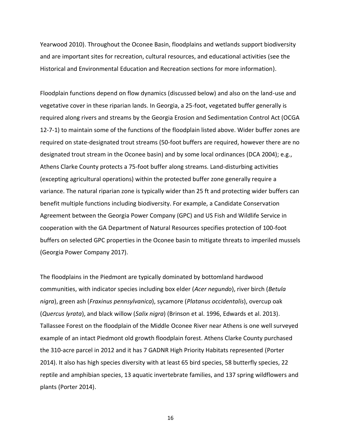Yearwood 2010). Throughout the Oconee Basin, floodplains and wetlands support biodiversity and are important sites for recreation, cultural resources, and educational activities (see the Historical and Environmental Education and Recreation sections for more information).

Floodplain functions depend on flow dynamics (discussed below) and also on the land-use and vegetative cover in these riparian lands. In Georgia, a 25-foot, vegetated buffer generally is required along rivers and streams by the Georgia Erosion and Sedimentation Control Act (OCGA 12-7-1) to maintain some of the functions of the floodplain listed above. Wider buffer zones are required on state-designated trout streams (50-foot buffers are required, however there are no designated trout stream in the Oconee basin) and by some local ordinances (DCA 2004); e.g., Athens Clarke County protects a 75-foot buffer along streams. Land-disturbing activities (excepting agricultural operations) within the protected buffer zone generally require a variance. The natural riparian zone is typically wider than 25 ft and protecting wider buffers can benefit multiple functions including biodiversity. For example, a Candidate Conservation Agreement between the Georgia Power Company (GPC) and US Fish and Wildlife Service in cooperation with the GA Department of Natural Resources specifies protection of 100-foot buffers on selected GPC properties in the Oconee basin to mitigate threats to imperiled mussels (Georgia Power Company 2017).

The floodplains in the Piedmont are typically dominated by bottomland hardwood communities, with indicator species including box elder (*Acer negundo*), river birch (*Betula nigra*), green ash (*Fraxinus pennsylvanica*), sycamore (*Platanus occidentalis*), overcup oak (*Quercus lyrata*), and black willow (*Salix nigra*) (Brinson et al. 1996, Edwards et al. 2013). Tallassee Forest on the floodplain of the Middle Oconee River near Athens is one well surveyed example of an intact Piedmont old growth floodplain forest. Athens Clarke County purchased the 310-acre parcel in 2012 and it has 7 GADNR High Priority Habitats represented (Porter 2014). It also has high species diversity with at least 65 bird species, 58 butterfly species, 22 reptile and amphibian species, 13 aquatic invertebrate families, and 137 spring wildflowers and plants (Porter 2014).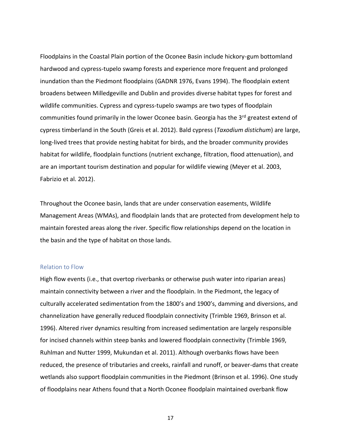Floodplains in the Coastal Plain portion of the Oconee Basin include hickory-gum bottomland hardwood and cypress-tupelo swamp forests and experience more frequent and prolonged inundation than the Piedmont floodplains (GADNR 1976, Evans 1994). The floodplain extent broadens between Milledgeville and Dublin and provides diverse habitat types for forest and wildlife communities. Cypress and cypress-tupelo swamps are two types of floodplain communities found primarily in the lower Oconee basin. Georgia has the 3<sup>rd</sup> greatest extend of cypress timberland in the South (Greis et al. 2012). Bald cypress (*Taxodium distichum*) are large, long-lived trees that provide nesting habitat for birds, and the broader community provides habitat for wildlife, floodplain functions (nutrient exchange, filtration, flood attenuation), and are an important tourism destination and popular for wildlife viewing (Meyer et al. 2003, Fabrizio et al. 2012).

Throughout the Oconee basin, lands that are under conservation easements, Wildlife Management Areas (WMAs), and floodplain lands that are protected from development help to maintain forested areas along the river. Specific flow relationships depend on the location in the basin and the type of habitat on those lands.

#### <span id="page-17-0"></span>Relation to Flow

High flow events (i.e., that overtop riverbanks or otherwise push water into riparian areas) maintain connectivity between a river and the floodplain. In the Piedmont, the legacy of culturally accelerated sedimentation from the 1800's and 1900's, damming and diversions, and channelization have generally reduced floodplain connectivity (Trimble 1969, Brinson et al. 1996). Altered river dynamics resulting from increased sedimentation are largely responsible for incised channels within steep banks and lowered floodplain connectivity (Trimble 1969, Ruhlman and Nutter 1999, Mukundan et al. 2011). Although overbanks flows have been reduced, the presence of tributaries and creeks, rainfall and runoff, or beaver-dams that create wetlands also support floodplain communities in the Piedmont (Brinson et al. 1996). One study of floodplains near Athens found that a North Oconee floodplain maintained overbank flow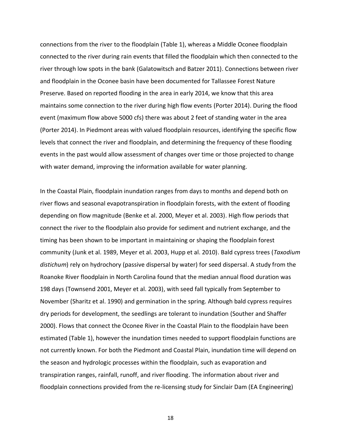connections from the river to the floodplain [\(Table 1\)](#page-27-0), whereas a Middle Oconee floodplain connected to the river during rain events that filled the floodplain which then connected to the river through low spots in the bank (Galatowitsch and Batzer 2011). Connections between river and floodplain in the Oconee basin have been documented for Tallassee Forest Nature Preserve. Based on reported flooding in the area in early 2014, we know that this area maintains some connection to the river during high flow events (Porter 2014). During the flood event (maximum flow above 5000 cfs) there was about 2 feet of standing water in the area (Porter 2014). In Piedmont areas with valued floodplain resources, identifying the specific flow levels that connect the river and floodplain, and determining the frequency of these flooding events in the past would allow assessment of changes over time or those projected to change with water demand, improving the information available for water planning.

In the Coastal Plain, floodplain inundation ranges from days to months and depend both on river flows and seasonal evapotranspiration in floodplain forests, with the extent of flooding depending on flow magnitude (Benke et al. 2000, Meyer et al. 2003). High flow periods that connect the river to the floodplain also provide for sediment and nutrient exchange, and the timing has been shown to be important in maintaining or shaping the floodplain forest community (Junk et al. 1989, Meyer et al. 2003, Hupp et al. 2010). Bald cypress trees (*Taxodium distichum*) rely on hydrochory (passive dispersal by water) for seed dispersal. A study from the Roanoke River floodplain in North Carolina found that the median annual flood duration was 198 days (Townsend 2001, Meyer et al. 2003), with seed fall typically from September to November (Sharitz et al. 1990) and germination in the spring. Although bald cypress requires dry periods for development, the seedlings are tolerant to inundation (Souther and Shaffer 2000). Flows that connect the Oconee River in the Coastal Plain to the floodplain have been estimated [\(Table 1\)](#page-27-0), however the inundation times needed to support floodplain functions are not currently known. For both the Piedmont and Coastal Plain, inundation time will depend on the season and hydrologic processes within the floodplain, such as evaporation and transpiration ranges, rainfall, runoff, and river flooding. The information about river and floodplain connections provided from the re-licensing study for Sinclair Dam (EA Engineering)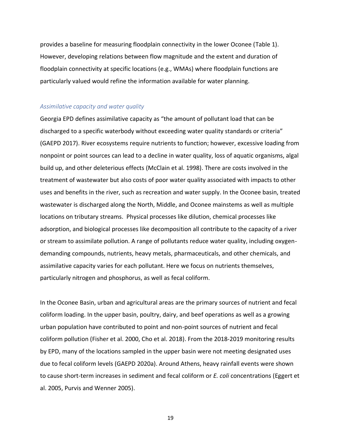provides a baseline for measuring floodplain connectivity in the lower Oconee [\(Table 1\)](#page-27-0). However, developing relations between flow magnitude and the extent and duration of floodplain connectivity at specific locations (e.g., WMAs) where floodplain functions are particularly valued would refine the information available for water planning.

#### <span id="page-19-0"></span>*Assimilative capacity and water quality*

Georgia EPD defines assimilative capacity as "the amount of pollutant load that can be discharged to a specific waterbody without exceeding water quality standards or criteria" (GAEPD 2017). River ecosystems require nutrients to function; however, excessive loading from nonpoint or point sources can lead to a decline in water quality, loss of aquatic organisms, algal build up, and other deleterious effects (McClain et al. 1998). There are costs involved in the treatment of wastewater but also costs of poor water quality associated with impacts to other uses and benefits in the river, such as recreation and water supply. In the Oconee basin, treated wastewater is discharged along the North, Middle, and Oconee mainstems as well as multiple locations on tributary streams. Physical processes like dilution, chemical processes like adsorption, and biological processes like decomposition all contribute to the capacity of a river or stream to assimilate pollution. A range of pollutants reduce water quality, including oxygendemanding compounds, nutrients, heavy metals, pharmaceuticals, and other chemicals, and assimilative capacity varies for each pollutant. Here we focus on nutrients themselves, particularly nitrogen and phosphorus, as well as fecal coliform.

In the Oconee Basin, urban and agricultural areas are the primary sources of nutrient and fecal coliform loading. In the upper basin, poultry, dairy, and beef operations as well as a growing urban population have contributed to point and non-point sources of nutrient and fecal coliform pollution (Fisher et al. 2000, Cho et al. 2018). From the 2018-2019 monitoring results by EPD, many of the locations sampled in the upper basin were not meeting designated uses due to fecal coliform levels (GAEPD 2020a). Around Athens, heavy rainfall events were shown to cause short-term increases in sediment and fecal coliform or *E. coli* concentrations (Eggert et al. 2005, Purvis and Wenner 2005).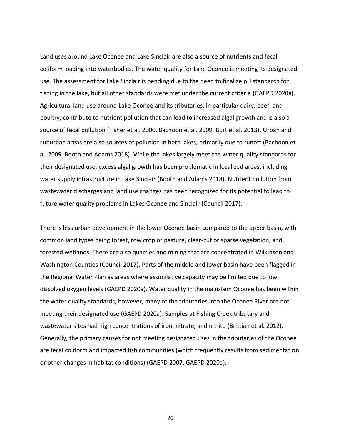Land uses around Lake Oconee and Lake Sinclair are also a source of nutrients and fecal coliform loading into waterbodies. The water quality for Lake Oconee is meeting its designated use. The assessment for Lake Sinclair is pending due to the need to finalize pH standards for fishing in the lake, but all other standards were met under the current criteria (GAEPD 2020a). Agricultural land use around Lake Oconee and its tributaries, in particular dairy, beef, and poultry, contribute to nutrient pollution that can lead to increased algal growth and is also a source of fecal pollution (Fisher et al. 2000, Bachoon et al. 2009, Burt et al. 2013). Urban and suburban areas are also sources of pollution in both lakes, primarily due to runoff (Bachoon et al. 2009, Booth and Adams 2018). While the lakes largely meet the water quality standards for their designated use, excess algal growth has been problematic in localized areas, including water supply infrastructure in Lake Sinclair (Booth and Adams 2018). Nutrient pollution from wastewater discharges and land use changes has been recognized for its potential to lead to future water quality problems in Lakes Oconee and Sinclair (Council 2017).

There is less urban development in the lower Oconee basin compared to the upper basin, with common land types being forest, row crop or pasture, clear-cut or sparse vegetation, and forested wetlands. There are also quarries and mining that are concentrated in Wilkinson and Washington Counties (Council 2017). Parts of the middle and lower basin have been flagged in the Regional Water Plan as areas where assimilative capacity may be limited due to low dissolved oxygen levels (GAEPD 2020a). Water quality in the mainstem Oconee has been within the water quality standards, however, many of the tributaries into the Oconee River are not meeting their designated use (GAEPD 2020a). Samples at Fishing Creek tributary and wastewater sites had high concentrations of iron, nitrate, and nitrite (Brittian et al. 2012). Generally, the primary causes for not meeting designated uses in the tributaries of the Oconee are fecal coliform and impacted fish communities (which frequently results from sedimentation or other changes in habitat conditions) (GAEPD 2007, GAEPD 2020a).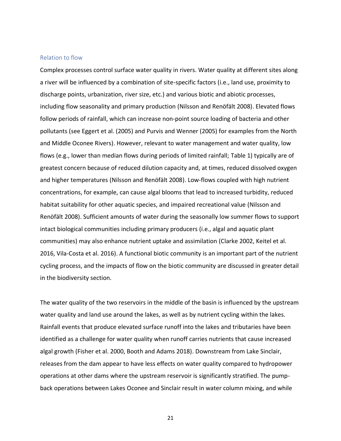#### <span id="page-21-0"></span>Relation to flow

Complex processes control surface water quality in rivers. Water quality at different sites along a river will be influenced by a combination of site-specific factors (i.e., land use, proximity to discharge points, urbanization, river size, etc.) and various biotic and abiotic processes, including flow seasonality and primary production (Nilsson and Renöfält 2008). Elevated flows follow periods of rainfall, which can increase non-point source loading of bacteria and other pollutants (see Eggert et al. (2005) and Purvis and Wenner (2005) for examples from the North and Middle Oconee Rivers). However, relevant to water management and water quality, low flows (e.g., lower than median flows during periods of limited rainfall; [Table 1\)](#page-27-0) typically are of greatest concern because of reduced dilution capacity and, at times, reduced dissolved oxygen and higher temperatures (Nilsson and Renöfält 2008). Low-flows coupled with high nutrient concentrations, for example, can cause algal blooms that lead to increased turbidity, reduced habitat suitability for other aquatic species, and impaired recreational value (Nilsson and Renöfält 2008). Sufficient amounts of water during the seasonally low summer flows to support intact biological communities including primary producers (i.e., algal and aquatic plant communities) may also enhance nutrient uptake and assimilation (Clarke 2002, Keitel et al. 2016, Vila-Costa et al. 2016). A functional biotic community is an important part of the nutrient cycling process, and the impacts of flow on the biotic community are discussed in greater detail in the biodiversity section.

The water quality of the two reservoirs in the middle of the basin is influenced by the upstream water quality and land use around the lakes, as well as by nutrient cycling within the lakes. Rainfall events that produce elevated surface runoff into the lakes and tributaries have been identified as a challenge for water quality when runoff carries nutrients that cause increased algal growth (Fisher et al. 2000, Booth and Adams 2018). Downstream from Lake Sinclair, releases from the dam appear to have less effects on water quality compared to hydropower operations at other dams where the upstream reservoir is significantly stratified. The pumpback operations between Lakes Oconee and Sinclair result in water column mixing, and while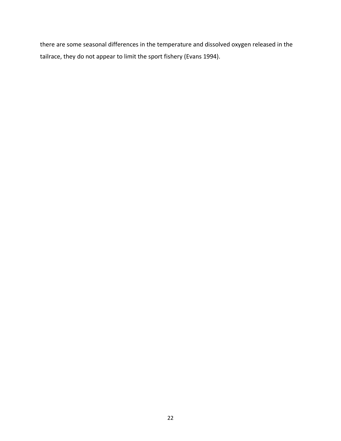there are some seasonal differences in the temperature and dissolved oxygen released in the tailrace, they do not appear to limit the sport fishery (Evans 1994).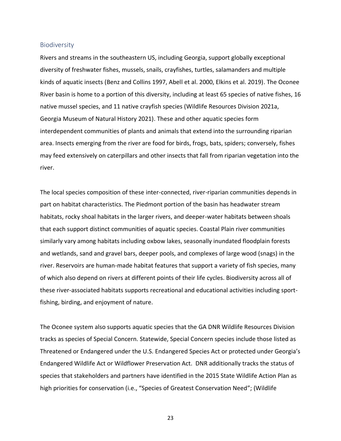#### <span id="page-23-0"></span>**Biodiversity**

Rivers and streams in the southeastern US, including Georgia, support globally exceptional diversity of freshwater fishes, mussels, snails, crayfishes, turtles, salamanders and multiple kinds of aquatic insects (Benz and Collins 1997, Abell et al. 2000, Elkins et al. 2019). The Oconee River basin is home to a portion of this diversity, including at least 65 species of native fishes, 16 native mussel species, and 11 native crayfish species (Wildlife Resources Division 2021a, Georgia Museum of Natural History 2021). These and other aquatic species form interdependent communities of plants and animals that extend into the surrounding riparian area. Insects emerging from the river are food for birds, frogs, bats, spiders; conversely, fishes may feed extensively on caterpillars and other insects that fall from riparian vegetation into the river.

The local species composition of these inter-connected, river-riparian communities depends in part on habitat characteristics. The Piedmont portion of the basin has headwater stream habitats, rocky shoal habitats in the larger rivers, and deeper-water habitats between shoals that each support distinct communities of aquatic species. Coastal Plain river communities similarly vary among habitats including oxbow lakes, seasonally inundated floodplain forests and wetlands, sand and gravel bars, deeper pools, and complexes of large wood (snags) in the river. Reservoirs are human-made habitat features that support a variety of fish species, many of which also depend on rivers at different points of their life cycles. Biodiversity across all of these river-associated habitats supports recreational and educational activities including sportfishing, birding, and enjoyment of nature.

The Oconee system also supports aquatic species that the GA DNR Wildlife Resources Division tracks as species of Special Concern. Statewide, Special Concern species include those listed as Threatened or Endangered under the U.S. Endangered Species Act or protected under Georgia's Endangered Wildlife Act or Wildflower Preservation Act. DNR additionally tracks the status of species that stakeholders and partners have identified in the 2015 State Wildlife Action Plan as high priorities for conservation (i.e., "Species of Greatest Conservation Need"; (Wildlife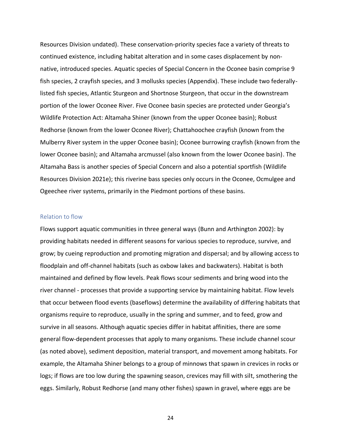Resources Division undated). These conservation-priority species face a variety of threats to continued existence, including habitat alteration and in some cases displacement by nonnative, introduced species. Aquatic species of Special Concern in the Oconee basin comprise 9 fish species, 2 crayfish species, and 3 mollusks species (Appendix). These include two federallylisted fish species, Atlantic Sturgeon and Shortnose Sturgeon, that occur in the downstream portion of the lower Oconee River. Five Oconee basin species are protected under Georgia's Wildlife Protection Act: Altamaha Shiner (known from the upper Oconee basin); Robust Redhorse (known from the lower Oconee River); Chattahoochee crayfish (known from the Mulberry River system in the upper Oconee basin); Oconee burrowing crayfish (known from the lower Oconee basin); and Altamaha arcmussel (also known from the lower Oconee basin). The Altamaha Bass is another species of Special Concern and also a potential sportfish (Wildlife Resources Division 2021e); this riverine bass species only occurs in the Oconee, Ocmulgee and Ogeechee river systems, primarily in the Piedmont portions of these basins.

#### <span id="page-24-0"></span>Relation to flow

Flows support aquatic communities in three general ways (Bunn and Arthington 2002): by providing habitats needed in different seasons for various species to reproduce, survive, and grow; by cueing reproduction and promoting migration and dispersal; and by allowing access to floodplain and off-channel habitats (such as oxbow lakes and backwaters). Habitat is both maintained and defined by flow levels. Peak flows scour sediments and bring wood into the river channel - processes that provide a supporting service by maintaining habitat. Flow levels that occur between flood events (baseflows) determine the availability of differing habitats that organisms require to reproduce, usually in the spring and summer, and to feed, grow and survive in all seasons. Although aquatic species differ in habitat affinities, there are some general flow-dependent processes that apply to many organisms. These include channel scour (as noted above), sediment deposition, material transport, and movement among habitats. For example, the Altamaha Shiner belongs to a group of minnows that spawn in crevices in rocks or logs; if flows are too low during the spawning season, crevices may fill with silt, smothering the eggs. Similarly, Robust Redhorse (and many other fishes) spawn in gravel, where eggs are be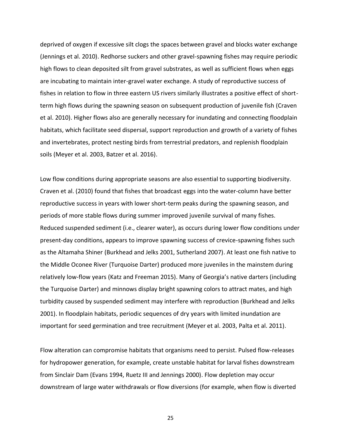deprived of oxygen if excessive silt clogs the spaces between gravel and blocks water exchange (Jennings et al. 2010). Redhorse suckers and other gravel-spawning fishes may require periodic high flows to clean deposited silt from gravel substrates, as well as sufficient flows when eggs are incubating to maintain inter-gravel water exchange. A study of reproductive success of fishes in relation to flow in three eastern US rivers similarly illustrates a positive effect of shortterm high flows during the spawning season on subsequent production of juvenile fish (Craven et al. 2010). Higher flows also are generally necessary for inundating and connecting floodplain habitats, which facilitate seed dispersal, support reproduction and growth of a variety of fishes and invertebrates, protect nesting birds from terrestrial predators, and replenish floodplain soils (Meyer et al. 2003, Batzer et al. 2016).

Low flow conditions during appropriate seasons are also essential to supporting biodiversity. Craven et al. (2010) found that fishes that broadcast eggs into the water-column have better reproductive success in years with lower short-term peaks during the spawning season, and periods of more stable flows during summer improved juvenile survival of many fishes. Reduced suspended sediment (i.e., clearer water), as occurs during lower flow conditions under present-day conditions, appears to improve spawning success of crevice-spawning fishes such as the Altamaha Shiner (Burkhead and Jelks 2001, Sutherland 2007). At least one fish native to the Middle Oconee River (Turquoise Darter) produced more juveniles in the mainstem during relatively low-flow years (Katz and Freeman 2015). Many of Georgia's native darters (including the Turquoise Darter) and minnows display bright spawning colors to attract mates, and high turbidity caused by suspended sediment may interfere with reproduction (Burkhead and Jelks 2001). In floodplain habitats, periodic sequences of dry years with limited inundation are important for seed germination and tree recruitment (Meyer et al. 2003, Palta et al. 2011).

Flow alteration can compromise habitats that organisms need to persist. Pulsed flow-releases for hydropower generation, for example, create unstable habitat for larval fishes downstream from Sinclair Dam (Evans 1994, Ruetz III and Jennings 2000). Flow depletion may occur downstream of large water withdrawals or flow diversions (for example, when flow is diverted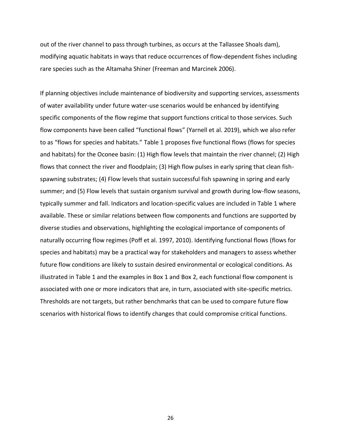out of the river channel to pass through turbines, as occurs at the Tallassee Shoals dam), modifying aquatic habitats in ways that reduce occurrences of flow-dependent fishes including rare species such as the Altamaha Shiner (Freeman and Marcinek 2006).

If planning objectives include maintenance of biodiversity and supporting services, assessments of water availability under future water-use scenarios would be enhanced by identifying specific components of the flow regime that support functions critical to those services. Such flow components have been called "functional flows" (Yarnell et al. 2019), which we also refer to as "flows for species and habitats." [Table 1](#page-27-0) proposes five functional flows (flows for species and habitats) for the Oconee basin: (1) High flow levels that maintain the river channel; (2) High flows that connect the river and floodplain; (3) High flow pulses in early spring that clean fishspawning substrates; (4) Flow levels that sustain successful fish spawning in spring and early summer; and (5) Flow levels that sustain organism survival and growth during low-flow seasons, typically summer and fall. Indicators and location-specific values are included in [Table 1](#page-27-0) where available. These or similar relations between flow components and functions are supported by diverse studies and observations, highlighting the ecological importance of components of naturally occurring flow regimes (Poff et al. 1997, 2010). Identifying functional flows (flows for species and habitats) may be a practical way for stakeholders and managers to assess whether future flow conditions are likely to sustain desired environmental or ecological conditions. As illustrated in [Table 1](#page-27-0) and the examples in Box 1 and [Box 2,](#page-31-0) each functional flow component is associated with one or more indicators that are, in turn, associated with site-specific metrics. Thresholds are not targets, but rather benchmarks that can be used to compare future flow scenarios with historical flows to identify changes that could compromise critical functions.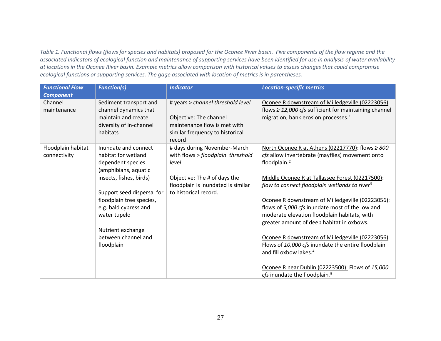*Table 1. Functional flows (flows for species and habitats) proposed for the Oconee River basin. Five components of the flow regime and the associated indicators of ecological function and maintenance of supporting services have been identified for use in analysis of water availability at locations in the Oconee River basin. Example metrics allow comparison with historical values to assess changes that could compromise ecological functions or supporting services. The gage associated with location of metrics is in parentheses.*

<span id="page-27-0"></span>

| <b>Functional Flow</b><br><b>Component</b> | <b>Function(s)</b>                                                                                                   | <b>Indicator</b>                                                                                                                                 | <b>Location-specific metrics</b>                                                                                                                                                                                                                     |
|--------------------------------------------|----------------------------------------------------------------------------------------------------------------------|--------------------------------------------------------------------------------------------------------------------------------------------------|------------------------------------------------------------------------------------------------------------------------------------------------------------------------------------------------------------------------------------------------------|
| Channel<br>maintenance                     | Sediment transport and<br>channel dynamics that<br>maintain and create<br>diversity of in-channel<br>habitats        | # years > channel threshold level<br>Objective: The channel<br>maintenance flow is met with<br>similar frequency to historical<br>record         | Oconee R downstream of Milledgeville (02223056):<br>flows $\geq$ 12,000 cfs sufficient for maintaining channel<br>migration, bank erosion processes. <sup>1</sup>                                                                                    |
| Floodplain habitat<br>connectivity         | Inundate and connect<br>habitat for wetland<br>dependent species<br>(amphibians, aquatic<br>insects, fishes, birds)  | # days during November-March<br>with flows > floodplain threshold<br>level<br>Objective: The # of days the<br>floodplain is inundated is similar | North Oconee R at Athens (02217770): flows $\geq$ 800<br>cfs allow invertebrate (mayflies) movement onto<br>floodplain. <sup>2</sup><br>Middle Oconee R at Tallassee Forest (02217500):<br>flow to connect floodplain wetlands to river <sup>3</sup> |
|                                            | Support seed dispersal for<br>floodplain tree species,<br>e.g. bald cypress and<br>water tupelo<br>Nutrient exchange | to historical record.                                                                                                                            | Oconee R downstream of Milledgeville (02223056):<br>flows of 5,000 cfs inundate most of the low and<br>moderate elevation floodplain habitats, with<br>greater amount of deep habitat in oxbows.                                                     |
|                                            | between channel and<br>floodplain                                                                                    |                                                                                                                                                  | Oconee R downstream of Milledgeville (02223056):<br>Flows of 10,000 cfs inundate the entire floodplain<br>and fill oxbow lakes. <sup>4</sup><br>Oconee R near Dublin (02223500): Flows of 15,000<br>cfs inundate the floodplain. <sup>5</sup>        |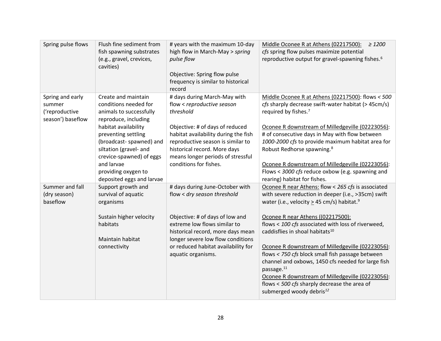| Spring pulse flows                                                | Flush fine sediment from<br>fish spawning substrates<br>(e.g., gravel, crevices,<br>cavities)                                                                                                                                                                                                     | # years with the maximum 10-day<br>high flow in March-May > spring<br>pulse flow<br>Objective: Spring flow pulse<br>frequency is similar to historical<br>record                                                                                                                       | Middle Oconee R at Athens (02217500):<br>$\geq 1200$<br>cfs spring flow pulses maximize potential<br>reproductive output for gravel-spawning fishes. <sup>6</sup>                                                                                                                                                                                                                                                                                                                                                                                                                                                                                 |
|-------------------------------------------------------------------|---------------------------------------------------------------------------------------------------------------------------------------------------------------------------------------------------------------------------------------------------------------------------------------------------|----------------------------------------------------------------------------------------------------------------------------------------------------------------------------------------------------------------------------------------------------------------------------------------|---------------------------------------------------------------------------------------------------------------------------------------------------------------------------------------------------------------------------------------------------------------------------------------------------------------------------------------------------------------------------------------------------------------------------------------------------------------------------------------------------------------------------------------------------------------------------------------------------------------------------------------------------|
| Spring and early<br>summer<br>('reproductive<br>season') baseflow | Create and maintain<br>conditions needed for<br>animals to successfully<br>reproduce, including<br>habitat availability<br>preventing settling<br>(broadcast-spawned) and<br>siltation (gravel- and<br>crevice-spawned) of eggs<br>and larvae<br>providing oxygen to<br>deposited eggs and larvae | # days during March-May with<br>flow < reproductive season<br>threshold<br>Objective: # of days of reduced<br>habitat availability during the fish<br>reproductive season is similar to<br>historical record. More days<br>means longer periods of stressful<br>conditions for fishes. | Middle Oconee R at Athens (02217500): flows < 500<br>cfs sharply decrease swift-water habitat (> 45cm/s)<br>required by fishes. <sup>7</sup><br>Oconee R downstream of Milledgeville (02223056):<br># of consecutive days in May with flow between<br>1000-2000 cfs to provide maximum habitat area for<br>Robust Redhorse spawning. <sup>8</sup><br>Oconee R downstream of Milledgeville (02223056):<br>Flows < 3000 cfs reduce oxbow (e.g. spawning and<br>rearing) habitat for fishes.                                                                                                                                                         |
| Summer and fall<br>(dry season)<br>baseflow                       | Support growth and<br>survival of aquatic<br>organisms<br>Sustain higher velocity<br>habitats<br>Maintain habitat<br>connectivity                                                                                                                                                                 | # days during June-October with<br>flow < dry season threshold<br>Objective: # of days of low and<br>extreme low flows similar to<br>historical record, more days mean<br>longer severe low flow conditions<br>or reduced habitat availability for<br>aquatic organisms.               | Oconee R near Athens: flow < 265 cfs is associated<br>with severe reduction in deeper (i.e., >35cm) swift<br>water (i.e., velocity > 45 cm/s) habitat. <sup>9</sup><br>Oconee R near Athens ((02217500):<br>flows < 100 cfs associated with loss of riverweed,<br>caddisflies in shoal habitats <sup>10</sup><br>Oconee R downstream of Milledgeville (02223056):<br>flows < 750 cfs block small fish passage between<br>channel and oxbows, 1450 cfs needed for large fish<br>passage. <sup>11</sup><br>Oconee R downstream of Milledgeville (02223056):<br>flows < 500 cfs sharply decrease the area of<br>submerged woody debris <sup>12</sup> |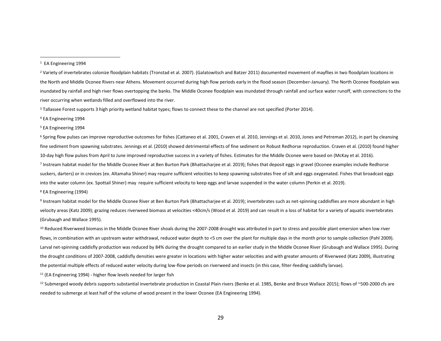<sup>2</sup> Variety of invertebrates colonize floodplain habitats (Tronstad et al. 2007). (Galatowitsch and Batzer 2011) documented movement of mayflies in two floodplain locations in the North and Middle Oconee Rivers near Athens. Movement occurred during high flow periods early in the flood season (December-January). The North Oconee floodplain was inundated by rainfall and high river flows overtopping the banks. The Middle Oconee floodplain was inundated through rainfall and surface water runoff, with connections to the river occurring when wetlands filled and overflowed into the river.

<sup>3</sup> Tallassee Forest supports 3 high priority wetland habitat types; flows to connect these to the channel are not specified (Porter 2014).

<sup>4</sup> EA Engineering 1994

<sup>5</sup> EA Engineering 1994

<sup>6</sup> Spring flow pulses can improve reproductive outcomes for fishes (Cattaneo et al. 2001, Craven et al. 2010, Jennings et al. 2010, Jones and Petreman 2012), in part by cleansing fine sediment from spawning substrates. Jennings et al. (2010) showed detrimental effects of fine sediment on Robust Redhorse reproduction. Craven et al. (2010) found higher 10-day high flow pulses from April to June improved reproductive success in a variety of fishes. Estimates for the Middle Oconee were based on (McKay et al. 2016). 7 Instream habitat model for the Middle Oconee River at Ben Burton Park (Bhattacharjee et al. 2019); fishes that deposit eggs in gravel (Oconee examples include Redhorse suckers, darters) or in crevices (ex. Altamaha Shiner) may require sufficient velocities to keep spawning substrates free of silt and eggs oxygenated. Fishes that broadcast eggs into the water column (ex. Spottail Shiner) may require sufficient velocity to keep eggs and larvae suspended in the water column (Perkin et al. 2019).

<sup>8</sup> EA Engineering (1994)

<sup>9</sup> Instream habitat model for the Middle Oconee River at Ben Burton Park (Bhattacharjee et al. 2019); invertebrates such as net-spinning caddisflies are more abundant in high velocity areas (Katz 2009); grazing reduces riverweed biomass at velocities <40cm/s (Wood et al. 2019) and can result in a loss of habitat for a variety of aquatic invertebrates (Grubaugh and Wallace 1995).

<sup>10</sup> Reduced Riverweed biomass in the Middle Oconee River shoals during the 2007-2008 drought was attributed in part to stress and possible plant emersion when low river flows, in combination with an upstream water withdrawal, reduced water depth to <5 cm over the plant for multiple days in the month prior to sample collection (Pahl 2009). Larval net-spinning caddisfly production was reduced by 84% during the drought compared to an earlier study in the Middle Oconee River (Grubaugh and Wallace 1995). During the drought conditions of 2007-2008, caddisfly densities were greater in locations with higher water velocities and with greater amounts of Riverweed (Katz 2009), illustrating the potential multiple effects of reduced water velocity during low-flow periods on riverweed and insects (in this case, filter-feeding caddisfly larvae).

 $11$  (EA Engineering 1994) - higher flow levels needed for larger fish

 $12$  Submerged woody debris supports substantial invertebrate production in Coastal Plain rivers (Benke et al. 1985, Benke and Bruce Wallace 2015); flows of ~500-2000 cfs are needed to submerge at least half of the volume of wood present in the lower Oconee (EA Engineering 1994).

<sup>1</sup> EA Engineering 1994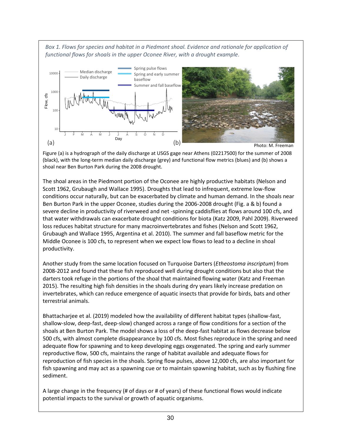Box 1. Flows for species and habitat in a Piedmont shoal. Evidence and rationale for application of *functional flows for shoals in the upper Oconee River, with a drought example.* 



Figure (a) is a hydrograph of the daily discharge at USGS gage near Athens (02217500) for the summer of 2008 (black), with the long-term median daily discharge (grey) and functional flow metrics (blues) and (b) shows a shoal near Ben Burton Park during the 2008 drought.

The shoal areas in the Piedmont portion of the Oconee are highly productive habitats (Nelson and Scott 1962, Grubaugh and Wallace 1995). Droughts that lead to infrequent, extreme low-flow conditions occur naturally, but can be exacerbated by climate and human demand. In the shoals near Ben Burton Park in the upper Oconee, studies during the 2006-2008 drought (Fig. a & b) found a severe decline in productivity of riverweed and net -spinning caddisflies at flows around 100 cfs, and that water withdrawals can exacerbate drought conditions for biota (Katz 2009, Pahl 2009). Riverweed loss reduces habitat structure for many macroinvertebrates and fishes (Nelson and Scott 1962, Grubaugh and Wallace 1995, Argentina et al. 2010). The summer and fall baseflow metric for the Middle Oconee is 100 cfs, to represent when we expect low flows to lead to a decline in shoal productivity.

Another study from the same location focused on Turquoise Darters (*Etheostoma inscriptum*) from 2008-2012 and found that these fish reproduced well during drought conditions but also that the darters took refuge in the portions of the shoal that maintained flowing water (Katz and Freeman 2015). The resulting high fish densities in the shoals during dry years likely increase predation on invertebrates, which can reduce emergence of aquatic insects that provide for birds, bats and other terrestrial animals.

Bhattacharjee et al. (2019) modeled how the availability of different habitat types (shallow-fast, shallow-slow, deep-fast, deep-slow) changed across a range of flow conditions for a section of the shoals at Ben Burton Park. The model shows a loss of the deep-fast habitat as flows decrease below 500 cfs, with almost complete disappearance by 100 cfs. Most fishes reproduce in the spring and need adequate flow for spawning and to keep developing eggs oxygenated. The spring and early summer reproductive flow, 500 cfs, maintains the range of habitat available and adequate flows for reproduction of fish species in the shoals. Spring flow pulses, above 12,000 cfs, are also important for fish spawning and may act as a spawning cue or to maintain spawning habitat, such as by flushing fine sediment.

A large change in the frequency (# of days or # of years) of these functional flows would indicate potential impacts to the survival or growth of aquatic organisms.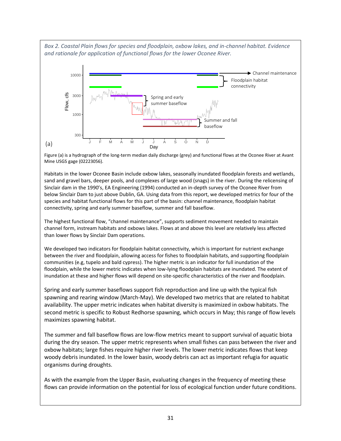<span id="page-31-0"></span>*Box 2. Coastal Plain flows for species and floodplain, oxbow lakes, and in-channel habitat. Evidence and rationale for application of functional flows for the lower Oconee River.*



Figure (a) is a hydrograph of the long-term median daily discharge (grey) and functional flows at the Oconee River at Avant Mine USGS gage (02223056).

Habitats in the lower Oconee Basin include oxbow lakes, seasonally inundated floodplain forests and wetlands, sand and gravel bars, deeper pools, and complexes of large wood (snags) in the river. During the relicensing of Sinclair dam in the 1990's, EA Engineering (1994) conducted an in-depth survey of the Oconee River from below Sinclair Dam to just above Dublin, GA. Using data from this report, we developed metrics for four of the species and habitat functional flows for this part of the basin: channel maintenance, floodplain habitat connectivity, spring and early summer baseflow, summer and fall baseflow.

The highest functional flow, "channel maintenance", supports sediment movement needed to maintain channel form, instream habitats and oxbows lakes. Flows at and above this level are relatively less affected than lower flows by Sinclair Dam operations.

We developed two indicators for floodplain habitat connectivity, which is important for nutrient exchange between the river and floodplain, allowing access for fishes to floodplain habitats, and supporting floodplain communities (e.g, tupelo and bald cypress). The higher metric is an indicator for full inundation of the floodplain, while the lower metric indicates when low-lying floodplain habitats are inundated. The extent of inundation at these and higher flows will depend on site-specific characteristics of the river and floodplain.

Spring and early summer baseflows support fish reproduction and line up with the typical fish spawning and rearing window (March-May). We developed two metrics that are related to habitat availability. The upper metric indicates when habitat diversity is maximized in oxbow habitats. The second metric is specific to Robust Redhorse spawning, which occurs in May; this range of flow levels maximizes spawning habitat.

The summer and fall baseflow flows are low-flow metrics meant to support survival of aquatic biota during the dry season. The upper metric represents when small fishes can pass between the river and oxbow habitats; large fishes require higher river levels. The lower metric indicates flows that keep woody debris inundated. In the lower basin, woody debris can act as important refugia for aquatic organisms during droughts.

As with the example from the Upper Basin, evaluating changes in the frequency of meeting these flows can provide information on the potential for loss of ecological function under future conditions.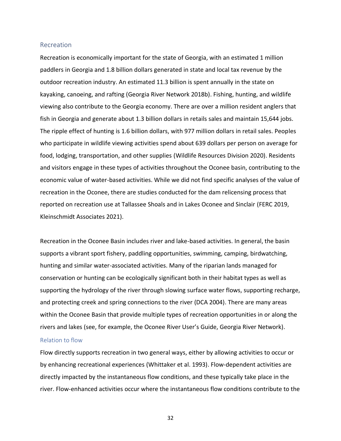#### <span id="page-32-0"></span>Recreation

Recreation is economically important for the state of Georgia, with an estimated 1 million paddlers in Georgia and 1.8 billion dollars generated in state and local tax revenue by the outdoor recreation industry. An estimated 11.3 billion is spent annually in the state on kayaking, canoeing, and rafting (Georgia River Network 2018b). Fishing, hunting, and wildlife viewing also contribute to the Georgia economy. There are over a million resident anglers that fish in Georgia and generate about 1.3 billion dollars in retails sales and maintain 15,644 jobs. The ripple effect of hunting is 1.6 billion dollars, with 977 million dollars in retail sales. Peoples who participate in wildlife viewing activities spend about 639 dollars per person on average for food, lodging, transportation, and other supplies (Wildlife Resources Division 2020). Residents and visitors engage in these types of activities throughout the Oconee basin, contributing to the economic value of water-based activities. While we did not find specific analyses of the value of recreation in the Oconee, there are studies conducted for the dam relicensing process that reported on recreation use at Tallassee Shoals and in Lakes Oconee and Sinclair (FERC 2019, Kleinschmidt Associates 2021).

Recreation in the Oconee Basin includes river and lake-based activities. In general, the basin supports a vibrant sport fishery, paddling opportunities, swimming, camping, birdwatching, hunting and similar water-associated activities. Many of the riparian lands managed for conservation or hunting can be ecologically significant both in their habitat types as well as supporting the hydrology of the river through slowing surface water flows, supporting recharge, and protecting creek and spring connections to the river (DCA 2004). There are many areas within the Oconee Basin that provide multiple types of recreation opportunities in or along the rivers and lakes (see, for example, the Oconee River User's Guide, Georgia River Network).

## <span id="page-32-1"></span>Relation to flow

Flow directly supports recreation in two general ways, either by allowing activities to occur or by enhancing recreational experiences (Whittaker et al. 1993). Flow-dependent activities are directly impacted by the instantaneous flow conditions, and these typically take place in the river. Flow-enhanced activities occur where the instantaneous flow conditions contribute to the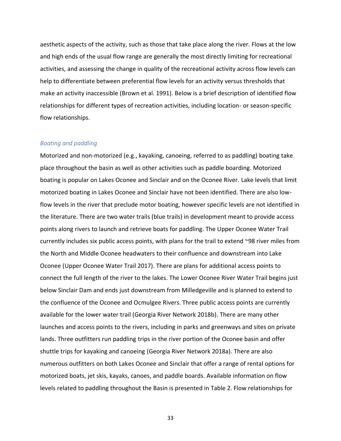aesthetic aspects of the activity, such as those that take place along the river. Flows at the low and high ends of the usual flow range are generally the most directly limiting for recreational activities, and assessing the change in quality of the recreational activity across flow levels can help to differentiate between preferential flow levels for an activity versus thresholds that make an activity inaccessible (Brown et al. 1991). Below is a brief description of identified flow relationships for different types of recreation activities, including location- or season-specific flow relationships.

#### <span id="page-33-0"></span>*Boating and paddling*

Motorized and non-motorized (e.g., kayaking, canoeing, referred to as paddling) boating take place throughout the basin as well as other activities such as paddle boarding. Motorized boating is popular on Lakes Oconee and Sinclair and on the Oconee River. Lake levels that limit motorized boating in Lakes Oconee and Sinclair have not been identified. There are also lowflow levels in the river that preclude motor boating, however specific levels are not identified in the literature. There are two water trails (blue trails) in development meant to provide access points along rivers to launch and retrieve boats for paddling. The Upper Oconee Water Trail currently includes six public access points, with plans for the trail to extend ~98 river miles from the North and Middle Oconee headwaters to their confluence and downstream into Lake Oconee (Upper Oconee Water Trail 2017). There are plans for additional access points to connect the full length of the river to the lakes. The Lower Oconee River Water Trail begins just below Sinclair Dam and ends just downstream from Milledgeville and is planned to extend to the confluence of the Oconee and Ocmulgee Rivers. Three public access points are currently available for the lower water trail (Georgia River Network 2018b). There are many other launches and access points to the rivers, including in parks and greenways and sites on private lands. Three outfitters run paddling trips in the river portion of the Oconee basin and offer shuttle trips for kayaking and canoeing (Georgia River Network 2018a). There are also numerous outfitters on both Lakes Oconee and Sinclair that offer a range of rental options for motorized boats, jet skis, kayaks, canoes, and paddle boards. Available information on flow levels related to paddling throughout the Basin is presented in [Table 2. Flow relationships for](#page-34-0)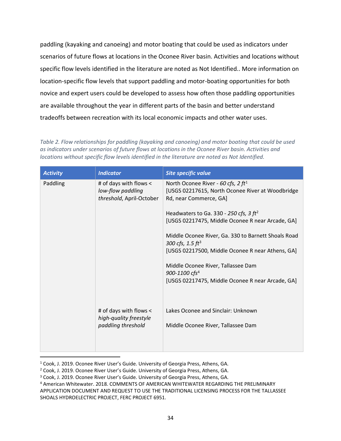[paddling \(kayaking and canoeing\) and motor boating that could be used as indicators under](#page-34-0)  [scenarios of future flows at locations in the Oconee River basin. Activities and locations without](#page-34-0)  [specific flow levels identified in the literature are noted as Not Identified..](#page-34-0) More information on location-specific flow levels that support paddling and motor-boating opportunities for both novice and expert users could be developed to assess how often those paddling opportunities are available throughout the year in different parts of the basin and better understand tradeoffs between recreation with its local economic impacts and other water uses.

<span id="page-34-0"></span>*Table 2. Flow relationships for paddling (kayaking and canoeing) and motor boating that could be used as indicators under scenarios of future flows at locations in the Oconee River basin. Activities and locations without specific flow levels identified in the literature are noted as Not Identified.*

| <b>Activity</b> | <b>Indicator</b>                                                        | Site specific value                                                                                                          |
|-----------------|-------------------------------------------------------------------------|------------------------------------------------------------------------------------------------------------------------------|
| Paddling        | # of days with flows <<br>low-flow paddling<br>threshold, April-October | North Oconee River - 60 cfs, 2 ft <sup>1</sup><br>[USGS 02217615, North Oconee River at Woodbridge<br>Rd, near Commerce, GA] |
|                 |                                                                         | Headwaters to Ga. 330 - 250 cfs, 3 $ft2$<br>[USGS 02217475, Middle Oconee R near Arcade, GA]                                 |
|                 |                                                                         | Middle Oconee River, Ga. 330 to Barnett Shoals Road<br>300 cfs, $1.5 \, \text{ft}^3$                                         |
|                 |                                                                         | [USGS 02217500, Middle Oconee R near Athens, GA]                                                                             |
|                 |                                                                         | Middle Oconee River, Tallassee Dam<br>900-1100 cfs <sup>4</sup>                                                              |
|                 |                                                                         | [USGS 02217475, Middle Oconee R near Arcade, GA]                                                                             |
|                 | # of days with flows <<br>high-quality freestyle                        | Lakes Oconee and Sinclair: Unknown                                                                                           |
|                 | paddling threshold                                                      | Middle Oconee River, Tallassee Dam                                                                                           |
|                 |                                                                         |                                                                                                                              |

<sup>1</sup> Cook, J. 2019. Oconee River User's Guide. University of Georgia Press, Athens, GA.

<sup>2</sup> Cook, J. 2019. Oconee River User's Guide. University of Georgia Press, Athens, GA.

<sup>3</sup> Cook, J. 2019. Oconee River User's Guide. University of Georgia Press, Athens, GA.

<sup>4</sup> American Whitewater. 2018. COMMENTS OF AMERICAN WHITEWATER REGARDING THE PRELIMINARY APPLICATION DOCUMENT AND REQUEST TO USE THE TRADITIONAL LICENSING PROCESS FOR THE TALLASSEE SHOALS HYDROELECTRIC PROJECT, FERC PROJECT 6951.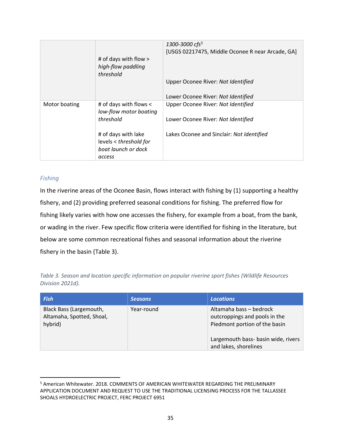|               |                                                  | 1300-3000 cfs <sup>5</sup>                       |
|---------------|--------------------------------------------------|--------------------------------------------------|
|               |                                                  | [USGS 02217475, Middle Oconee R near Arcade, GA] |
|               | # of days with flow >                            |                                                  |
|               | high-flow paddling<br>threshold                  |                                                  |
|               |                                                  | Upper Oconee River: Not Identified               |
|               |                                                  | Lower Oconee River: Not Identified               |
| Motor boating | # of days with flows <<br>low-flow motor boating | Upper Oconee River: Not Identified               |
|               | threshold                                        | Lower Oconee River: Not Identified               |
|               | # of days with lake<br>levels < threshold for    | Lakes Oconee and Sinclair: Not Identified        |
|               | boat launch or dock                              |                                                  |
|               | access                                           |                                                  |

## <span id="page-35-0"></span>*Fishing*

In the riverine areas of the Oconee Basin, flows interact with fishing by (1) supporting a healthy fishery, and (2) providing preferred seasonal conditions for fishing. The preferred flow for fishing likely varies with how one accesses the fishery, for example from a boat, from the bank, or wading in the river. Few specific flow criteria were identified for fishing in the literature, but below are some common recreational fishes and seasonal information about the riverine fishery in the basin [\(Table 3\)](#page-35-1).

<span id="page-35-1"></span>*Table 3. Season and location specific information on popular riverine sport fishes (Wildlife Resources Division 2021d).* 

| <b>Fish</b>                                                     | <b>Seasons</b> | <b>Locations</b>                                                                                                                                          |
|-----------------------------------------------------------------|----------------|-----------------------------------------------------------------------------------------------------------------------------------------------------------|
| Black Bass (Largemouth,<br>Altamaha, Spotted, Shoal,<br>hybrid) | Year-round     | Altamaha bass – bedrock<br>outcroppings and pools in the<br>Piedmont portion of the basin<br>Largemouth bass- basin wide, rivers<br>and lakes, shorelines |

<sup>5</sup> American Whitewater. 2018. COMMENTS OF AMERICAN WHITEWATER REGARDING THE PRELIMINARY APPLICATION DOCUMENT AND REQUEST TO USE THE TRADITIONAL LICENSING PROCESS FOR THE TALLASSEE SHOALS HYDROELECTRIC PROJECT, FERC PROJECT 6951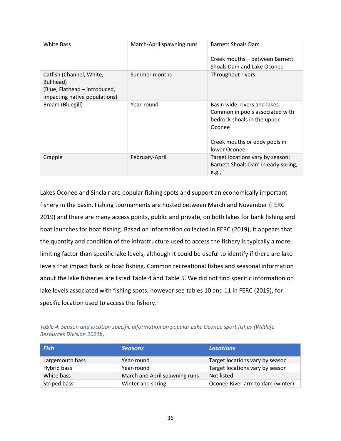| <b>White Bass</b>                                                                                       | March-April spawning runs | <b>Barnett Shoals Dam</b><br>Creek mouths - between Barnett<br>Shoals Dam and Lake Oconee                                                                  |
|---------------------------------------------------------------------------------------------------------|---------------------------|------------------------------------------------------------------------------------------------------------------------------------------------------------|
| Catfish (Channel, White,<br>Bullhead)<br>(Blue, Flathead - introduced,<br>impacting native populations) | Summer months             | Throughout rivers                                                                                                                                          |
| Bream (Bluegill)                                                                                        | Year-round                | Basin wide, rivers and lakes.<br>Common in pools associated with<br>bedrock shoals in the upper<br>Oconee<br>Creek mouths or eddy pools in<br>lower Oconee |
| Crappie                                                                                                 | February-April            | Target locations vary by season;<br>Barnett Shoals Dam in early spring,<br>e.g.,                                                                           |

Lakes Oconee and Sinclair are popular fishing spots and support an economically important fishery in the basin. Fishing tournaments are hosted between March and November (FERC 2019) and there are many access points, public and private, on both lakes for bank fishing and boat launches for boat fishing. Based on information collected in FERC (2019), it appears that the quantity and condition of the infrastructure used to access the fishery is typically a more limiting factor than specific lake levels, although it could be useful to identify if there are lake levels that impact bank or boat fishing. Common recreational fishes and seasonal information about the lake fisheries are listed [Table 4](#page-36-0) and [Table 5.](#page-37-1) We did not find specific information on lake levels associated with fishing spots, however see tables 10 and 11 in FERC (2019), for specific location used to access the fishery.

<span id="page-36-0"></span>*Table 4. Season and location specific information on popular Lake Oconee sport fishes (Wildlife Resources Division 2021b).*

| Fish            | <b>Seasons</b>                | <b>Locations</b>                 |  |
|-----------------|-------------------------------|----------------------------------|--|
| Largemouth bass | Year-round                    | Target locations vary by season  |  |
| Hybrid bass     | Year-round                    | Target locations vary by season  |  |
| White bass      | March and April spawning runs | Not listed                       |  |
| Striped bass    | Winter and spring             | Oconee River arm to dam (winter) |  |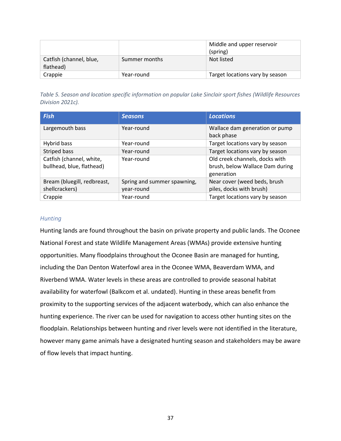|                                      |               | Middle and upper reservoir<br>(spring) |
|--------------------------------------|---------------|----------------------------------------|
| Catfish (channel, blue,<br>flathead) | Summer months | Not listed                             |
| Crappie                              | Year-round    | Target locations vary by season        |

<span id="page-37-1"></span>*Table 5. Season and location specific information on popular Lake Sinclair sport fishes (Wildlife Resources Division 2021c).*

| <b>Fish</b>                                                         | <b>Seasons</b>                            | <b>Locations</b>                                                                |  |
|---------------------------------------------------------------------|-------------------------------------------|---------------------------------------------------------------------------------|--|
| Largemouth bass                                                     | Year-round                                | Wallace dam generation or pump<br>back phase                                    |  |
| Hybrid bass                                                         | Year-round                                | Target locations vary by season                                                 |  |
| Striped bass                                                        | Year-round                                | Target locations vary by season                                                 |  |
| Catfish (channel, white,<br>Year-round<br>bullhead, blue, flathead) |                                           | Old creek channels, docks with<br>brush, below Wallace Dam during<br>generation |  |
| Bream (bluegill, redbreast,<br>shellcrackers)                       | Spring and summer spawning,<br>year-round | Near cover (weed beds, brush<br>piles, docks with brush)                        |  |
| Crappie                                                             | Year-round                                | Target locations vary by season                                                 |  |

## <span id="page-37-0"></span>*Hunting*

Hunting lands are found throughout the basin on private property and public lands. The Oconee National Forest and state Wildlife Management Areas (WMAs) provide extensive hunting opportunities. Many floodplains throughout the Oconee Basin are managed for hunting, including the Dan Denton Waterfowl area in the Oconee WMA, Beaverdam WMA, and Riverbend WMA. Water levels in these areas are controlled to provide seasonal habitat availability for waterfowl (Balkcom et al. undated). Hunting in these areas benefit from proximity to the supporting services of the adjacent waterbody, which can also enhance the hunting experience. The river can be used for navigation to access other hunting sites on the floodplain. Relationships between hunting and river levels were not identified in the literature, however many game animals have a designated hunting season and stakeholders may be aware of flow levels that impact hunting.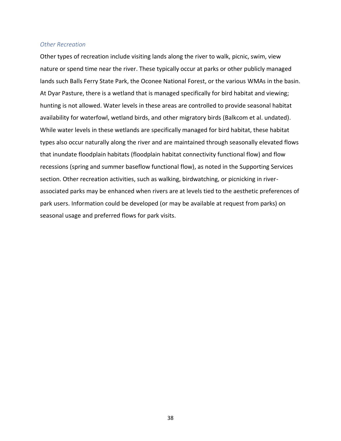#### <span id="page-38-0"></span>*Other Recreation*

Other types of recreation include visiting lands along the river to walk, picnic, swim, view nature or spend time near the river. These typically occur at parks or other publicly managed lands such Balls Ferry State Park, the Oconee National Forest, or the various WMAs in the basin. At Dyar Pasture, there is a wetland that is managed specifically for bird habitat and viewing; hunting is not allowed. Water levels in these areas are controlled to provide seasonal habitat availability for waterfowl, wetland birds, and other migratory birds (Balkcom et al. undated). While water levels in these wetlands are specifically managed for bird habitat, these habitat types also occur naturally along the river and are maintained through seasonally elevated flows that inundate floodplain habitats (floodplain habitat connectivity functional flow) and flow recessions (spring and summer baseflow functional flow), as noted in the Supporting Services section. Other recreation activities, such as walking, birdwatching, or picnicking in riverassociated parks may be enhanced when rivers are at levels tied to the aesthetic preferences of park users. Information could be developed (or may be available at request from parks) on seasonal usage and preferred flows for park visits.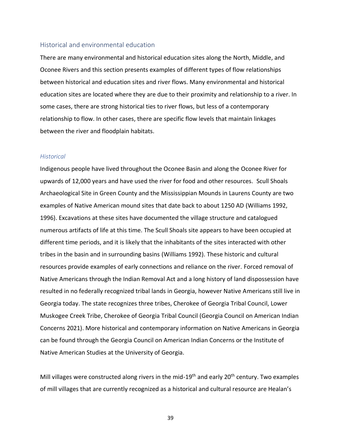#### <span id="page-39-0"></span>Historical and environmental education

There are many environmental and historical education sites along the North, Middle, and Oconee Rivers and this section presents examples of different types of flow relationships between historical and education sites and river flows. Many environmental and historical education sites are located where they are due to their proximity and relationship to a river. In some cases, there are strong historical ties to river flows, but less of a contemporary relationship to flow. In other cases, there are specific flow levels that maintain linkages between the river and floodplain habitats.

#### <span id="page-39-1"></span>*Historical*

Indigenous people have lived throughout the Oconee Basin and along the Oconee River for upwards of 12,000 years and have used the river for food and other resources. Scull Shoals Archaeological Site in Green County and the Mississippian Mounds in Laurens County are two examples of Native American mound sites that date back to about 1250 AD (Williams 1992, 1996). Excavations at these sites have documented the village structure and catalogued numerous artifacts of life at this time. The Scull Shoals site appears to have been occupied at different time periods, and it is likely that the inhabitants of the sites interacted with other tribes in the basin and in surrounding basins (Williams 1992). These historic and cultural resources provide examples of early connections and reliance on the river. Forced removal of Native Americans through the Indian Removal Act and a long history of land dispossession have resulted in no federally recognized tribal lands in Georgia, however Native Americans still live in Georgia today. The state recognizes three tribes, Cherokee of Georgia Tribal Council, Lower Muskogee Creek Tribe, Cherokee of Georgia Tribal Council (Georgia Council on American Indian Concerns 2021). More historical and contemporary information on Native Americans in Georgia can be found through the Georgia Council on American Indian Concerns or the Institute of Native American Studies at the University of Georgia.

Mill villages were constructed along rivers in the mid-19<sup>th</sup> and early 20<sup>th</sup> century. Two examples of mill villages that are currently recognized as a historical and cultural resource are Healan's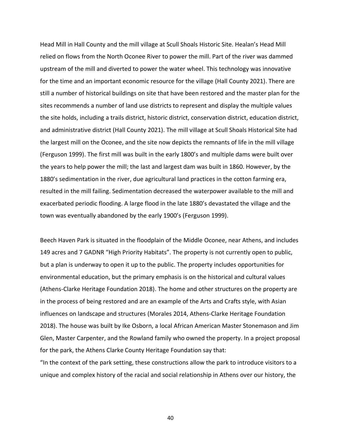Head Mill in Hall County and the mill village at Scull Shoals Historic Site. Healan's Head Mill relied on flows from the North Oconee River to power the mill. Part of the river was dammed upstream of the mill and diverted to power the water wheel. This technology was innovative for the time and an important economic resource for the village (Hall County 2021). There are still a number of historical buildings on site that have been restored and the master plan for the sites recommends a number of land use districts to represent and display the multiple values the site holds, including a trails district, historic district, conservation district, education district, and administrative district (Hall County 2021). The mill village at Scull Shoals Historical Site had the largest mill on the Oconee, and the site now depicts the remnants of life in the mill village (Ferguson 1999). The first mill was built in the early 1800's and multiple dams were built over the years to help power the mill; the last and largest dam was built in 1860. However, by the 1880's sedimentation in the river, due agricultural land practices in the cotton farming era, resulted in the mill failing. Sedimentation decreased the waterpower available to the mill and exacerbated periodic flooding. A large flood in the late 1880's devastated the village and the town was eventually abandoned by the early 1900's (Ferguson 1999).

Beech Haven Park is situated in the floodplain of the Middle Oconee, near Athens, and includes 149 acres and 7 GADNR "High Priority Habitats". The property is not currently open to public, but a plan is underway to open it up to the public. The property includes opportunities for environmental education, but the primary emphasis is on the historical and cultural values (Athens-Clarke Heritage Foundation 2018). The home and other structures on the property are in the process of being restored and are an example of the Arts and Crafts style, with Asian influences on landscape and structures (Morales 2014, Athens-Clarke Heritage Foundation 2018). The house was built by Ike Osborn, a local African American Master Stonemason and Jim Glen, Master Carpenter, and the Rowland family who owned the property. In a project proposal for the park, the Athens Clarke County Heritage Foundation say that:

"In the context of the park setting, these constructions allow the park to introduce visitors to a unique and complex history of the racial and social relationship in Athens over our history, the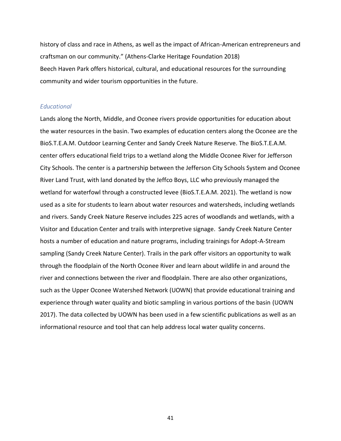history of class and race in Athens, as well as the impact of African-American entrepreneurs and craftsman on our community." (Athens-Clarke Heritage Foundation 2018) Beech Haven Park offers historical, cultural, and educational resources for the surrounding community and wider tourism opportunities in the future.

#### <span id="page-41-0"></span>*Educational*

Lands along the North, Middle, and Oconee rivers provide opportunities for education about the water resources in the basin. Two examples of education centers along the Oconee are the BioS.T.E.A.M. Outdoor Learning Center and Sandy Creek Nature Reserve. The BioS.T.E.A.M. center offers educational field trips to a wetland along the Middle Oconee River for Jefferson City Schools. The center is a partnership between the Jefferson City Schools System and Oconee River Land Trust, with land donated by the Jeffco Boys, LLC who previously managed the wetland for waterfowl through a constructed levee (BioS.T.E.A.M. 2021). The wetland is now used as a site for students to learn about water resources and watersheds, including wetlands and rivers. Sandy Creek Nature Reserve includes 225 acres of woodlands and wetlands, with a Visitor and Education Center and trails with interpretive signage. Sandy Creek Nature Center hosts a number of education and nature programs, including trainings for Adopt-A-Stream sampling (Sandy Creek Nature Center). Trails in the park offer visitors an opportunity to walk through the floodplain of the North Oconee River and learn about wildlife in and around the river and connections between the river and floodplain. There are also other organizations, such as the Upper Oconee Watershed Network (UOWN) that provide educational training and experience through water quality and biotic sampling in various portions of the basin (UOWN 2017). The data collected by UOWN has been used in a few scientific publications as well as an informational resource and tool that can help address local water quality concerns.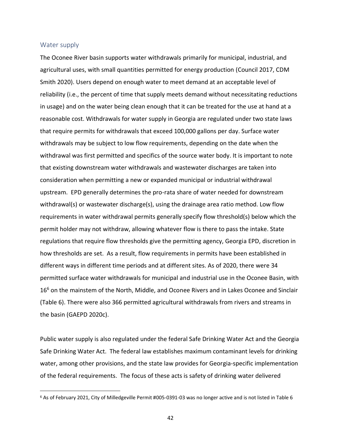#### <span id="page-42-0"></span>Water supply

The Oconee River basin supports water withdrawals primarily for municipal, industrial, and agricultural uses, with small quantities permitted for energy production (Council 2017, CDM Smith 2020). Users depend on enough water to meet demand at an acceptable level of reliability (i.e., the percent of time that supply meets demand without necessitating reductions in usage) and on the water being clean enough that it can be treated for the use at hand at a reasonable cost. Withdrawals for water supply in Georgia are regulated under two state laws that require permits for withdrawals that exceed 100,000 gallons per day. Surface water withdrawals may be subject to low flow requirements, depending on the date when the withdrawal was first permitted and specifics of the source water body. It is important to note that existing downstream water withdrawals and wastewater discharges are taken into consideration when permitting a new or expanded municipal or industrial withdrawal upstream. EPD generally determines the pro-rata share of water needed for downstream withdrawal(s) or wastewater discharge(s), using the drainage area ratio method. Low flow requirements in water withdrawal permits generally specify flow threshold(s) below which the permit holder may not withdraw, allowing whatever flow is there to pass the intake. State regulations that require flow thresholds give the permitting agency, Georgia EPD, discretion in how thresholds are set. As a result, flow requirements in permits have been established in different ways in different time periods and at different sites. As of 2020, there were 34 permitted surface water withdrawals for municipal and industrial use in the Oconee Basin, with 16<sup>6</sup> on the mainstem of the North, Middle, and Oconee Rivers and in Lakes Oconee and Sinclair [\(Table 6\)](#page-44-0). There were also 366 permitted agricultural withdrawals from rivers and streams in the basin (GAEPD 2020c).

Public water supply is also regulated under the federal Safe Drinking Water Act and the Georgia Safe Drinking Water Act. The federal law establishes maximum contaminant levels for drinking water, among other provisions, and the state law provides for Georgia-specific implementation of the federal requirements. The focus of these acts is safety of drinking water delivered

<sup>6</sup> As of February 2021, City of Milledgeville Permit #005-0391-03 was no longer active and is not listed in Table 6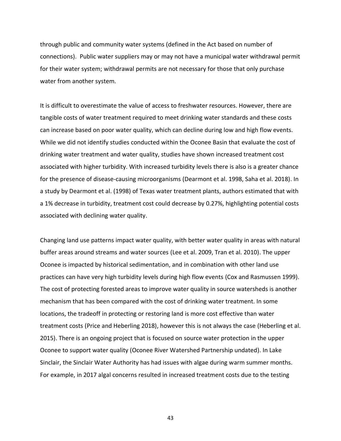through public and community water systems (defined in the Act based on number of connections). Public water suppliers may or may not have a municipal water withdrawal permit for their water system; withdrawal permits are not necessary for those that only purchase water from another system.

It is difficult to overestimate the value of access to freshwater resources. However, there are tangible costs of water treatment required to meet drinking water standards and these costs can increase based on poor water quality, which can decline during low and high flow events. While we did not identify studies conducted within the Oconee Basin that evaluate the cost of drinking water treatment and water quality, studies have shown increased treatment cost associated with higher turbidity. With increased turbidity levels there is also is a greater chance for the presence of disease-causing microorganisms (Dearmont et al. 1998, Saha et al. 2018). In a study by Dearmont et al. (1998) of Texas water treatment plants, authors estimated that with a 1% decrease in turbidity, treatment cost could decrease by 0.27%, highlighting potential costs associated with declining water quality.

Changing land use patterns impact water quality, with better water quality in areas with natural buffer areas around streams and water sources (Lee et al. 2009, Tran et al. 2010). The upper Oconee is impacted by historical sedimentation, and in combination with other land use practices can have very high turbidity levels during high flow events (Cox and Rasmussen 1999). The cost of protecting forested areas to improve water quality in source watersheds is another mechanism that has been compared with the cost of drinking water treatment. In some locations, the tradeoff in protecting or restoring land is more cost effective than water treatment costs (Price and Heberling 2018), however this is not always the case (Heberling et al. 2015). There is an ongoing project that is focused on source water protection in the upper Oconee to support water quality (Oconee River Watershed Partnership undated). In Lake Sinclair, the Sinclair Water Authority has had issues with algae during warm summer months. For example, in 2017 algal concerns resulted in increased treatment costs due to the testing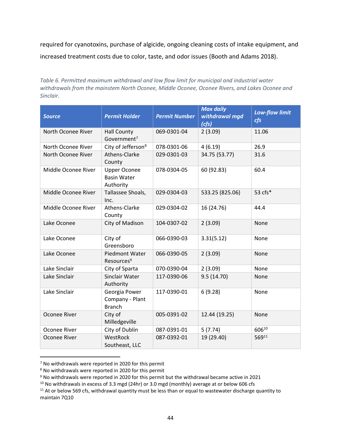required for cyanotoxins, purchase of algicide, ongoing cleaning costs of intake equipment, and increased treatment costs due to color, taste, and odor issues (Booth and Adams 2018).

<span id="page-44-0"></span>*Table 6. Permitted maximum withdrawal and low flow limit for municipal and industrial water withdrawals from the mainstem North Oconee, Middle Oconee, Oconee Rivers, and Lakes Oconee and Sinclair.*

| <b>Source</b>       | <b>Permit Holder</b>                                   | <b>Permit Number</b> | <b>Max daily</b><br>withdrawal mgd<br>(cfs) | <b>Low-flow limit</b><br>cfs |
|---------------------|--------------------------------------------------------|----------------------|---------------------------------------------|------------------------------|
| North Oconee River  | <b>Hall County</b><br>Government <sup>7</sup>          | 069-0301-04          | 2(3.09)                                     | 11.06                        |
| North Oconee River  | City of Jefferson <sup>8</sup>                         | 078-0301-06          | 4(6.19)                                     | 26.9                         |
| North Oconee River  | Athens-Clarke<br>County                                | 029-0301-03          | 34.75 (53.77)                               | 31.6                         |
| Middle Oconee River | <b>Upper Oconee</b><br><b>Basin Water</b><br>Authority | 078-0304-05          | 60 (92.83)                                  | 60.4                         |
| Middle Oconee River | Tallassee Shoals,<br>Inc.                              | 029-0304-03          | 533.25 (825.06)                             | 53 cfs*                      |
| Middle Oconee River | Athens-Clarke<br>County                                | 029-0304-02          | 16 (24.76)                                  | 44.4                         |
| Lake Oconee         | City of Madison                                        | 104-0307-02          | 2(3.09)                                     | None                         |
| Lake Oconee         | City of<br>Greensboro                                  | 066-0390-03          | 3.31(5.12)                                  | None                         |
| Lake Oconee         | Piedmont Water<br>Resources <sup>9</sup>               | 066-0390-05          | 2(3.09)                                     | None                         |
| Lake Sinclair       | City of Sparta                                         | 070-0390-04          | 2(3.09)                                     | None                         |
| Lake Sinclair       | Sinclair Water<br>Authority                            | 117-0390-06          | 9.5(14.70)                                  | None                         |
| Lake Sinclair       | Georgia Power<br>Company - Plant<br><b>Branch</b>      | 117-0390-01          | 6(9.28)                                     | None                         |
| Oconee River        | City of<br>Milledgeville                               | 005-0391-02          | 12.44 (19.25)                               | None                         |
| Oconee River        | City of Dublin                                         | 087-0391-01          | 5(7.74)                                     | 60610                        |
| Oconee River        | WestRock<br>Southeast, LLC                             | 087-0392-01          | 19 (29.40)                                  | 56911                        |

<sup>7</sup> No withdrawals were reported in 2020 for this permit

<sup>8</sup> No withdrawals were reported in 2020 for this permit

<sup>9</sup> No withdrawals were reported in 2020 for this permit but the withdrawal became active in 2021

<sup>&</sup>lt;sup>10</sup> No withdrawals in excess of 3.3 mgd (24hr) or 3.0 mgd (monthly) average at or below 606 cfs

<sup>&</sup>lt;sup>11</sup> At or below 569 cfs, withdrawal quantity must be less than or equal to wastewater discharge quantity to maintain 7Q10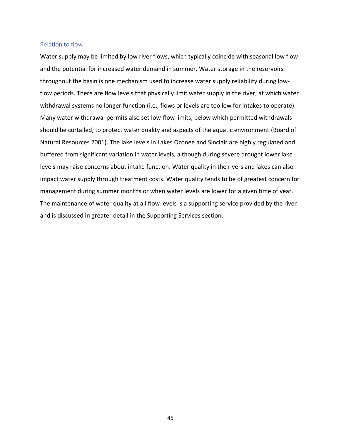#### <span id="page-45-0"></span>Relation to flow

Water supply may be limited by low river flows, which typically coincide with seasonal low flow and the potential for increased water demand in summer. Water storage in the reservoirs throughout the basin is one mechanism used to increase water supply reliability during lowflow periods. There are flow levels that physically limit water supply in the river, at which water withdrawal systems no longer function (i.e., flows or levels are too low for intakes to operate). Many water withdrawal permits also set low-flow limits, below which permitted withdrawals should be curtailed, to protect water quality and aspects of the aquatic environment (Board of Natural Resources 2001). The lake levels in Lakes Oconee and Sinclair are highly regulated and buffered from significant variation in water levels, although during severe drought lower lake levels may raise concerns about intake function. Water quality in the rivers and lakes can also impact water supply through treatment costs. Water quality tends to be of greatest concern for management during summer months or when water levels are lower for a given time of year. The maintenance of water quality at all flow levels is a supporting service provided by the river and is discussed in greater detail in the Supporting Services section.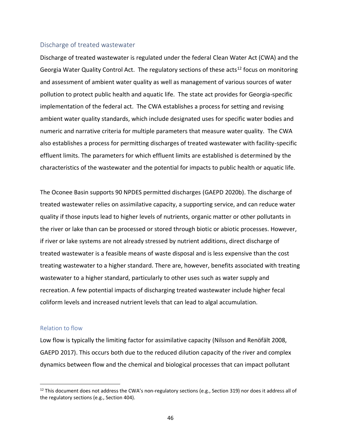#### <span id="page-46-0"></span>Discharge of treated wastewater

Discharge of treated wastewater is regulated under the federal Clean Water Act (CWA) and the Georgia Water Quality Control Act. The regulatory sections of these acts<sup>12</sup> focus on monitoring and assessment of ambient water quality as well as management of various sources of water pollution to protect public health and aquatic life. The state act provides for Georgia-specific implementation of the federal act. The CWA establishes a process for setting and revising ambient water quality standards, which include designated uses for specific water bodies and numeric and narrative criteria for multiple parameters that measure water quality. The CWA also establishes a process for permitting discharges of treated wastewater with facility-specific effluent limits. The parameters for which effluent limits are established is determined by the characteristics of the wastewater and the potential for impacts to public health or aquatic life.

The Oconee Basin supports 90 NPDES permitted discharges (GAEPD 2020b). The discharge of treated wastewater relies on assimilative capacity, a supporting service, and can reduce water quality if those inputs lead to higher levels of nutrients, organic matter or other pollutants in the river or lake than can be processed or stored through biotic or abiotic processes. However, if river or lake systems are not already stressed by nutrient additions, direct discharge of treated wastewater is a feasible means of waste disposal and is less expensive than the cost treating wastewater to a higher standard. There are, however, benefits associated with treating wastewater to a higher standard, particularly to other uses such as water supply and recreation. A few potential impacts of discharging treated wastewater include higher fecal coliform levels and increased nutrient levels that can lead to algal accumulation.

#### <span id="page-46-1"></span>Relation to flow

Low flow is typically the limiting factor for assimilative capacity (Nilsson and Renöfält 2008, GAEPD 2017). This occurs both due to the reduced dilution capacity of the river and complex dynamics between flow and the chemical and biological processes that can impact pollutant

<sup>&</sup>lt;sup>12</sup> This document does not address the CWA's non-regulatory sections (e.g., Section 319) nor does it address all of the regulatory sections (e.g., Section 404).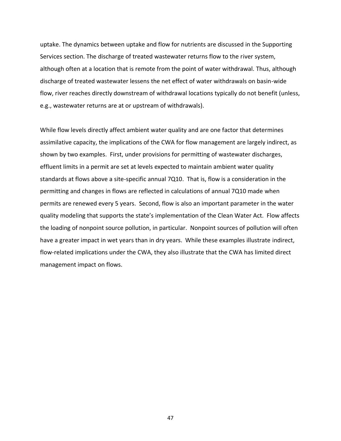uptake. The dynamics between uptake and flow for nutrients are discussed in the Supporting Services section. The discharge of treated wastewater returns flow to the river system, although often at a location that is remote from the point of water withdrawal. Thus, although discharge of treated wastewater lessens the net effect of water withdrawals on basin-wide flow, river reaches directly downstream of withdrawal locations typically do not benefit (unless, e.g., wastewater returns are at or upstream of withdrawals).

While flow levels directly affect ambient water quality and are one factor that determines assimilative capacity, the implications of the CWA for flow management are largely indirect, as shown by two examples. First, under provisions for permitting of wastewater discharges, effluent limits in a permit are set at levels expected to maintain ambient water quality standards at flows above a site-specific annual 7Q10. That is, flow is a consideration in the permitting and changes in flows are reflected in calculations of annual 7Q10 made when permits are renewed every 5 years. Second, flow is also an important parameter in the water quality modeling that supports the state's implementation of the Clean Water Act. Flow affects the loading of nonpoint source pollution, in particular. Nonpoint sources of pollution will often have a greater impact in wet years than in dry years. While these examples illustrate indirect, flow-related implications under the CWA, they also illustrate that the CWA has limited direct management impact on flows.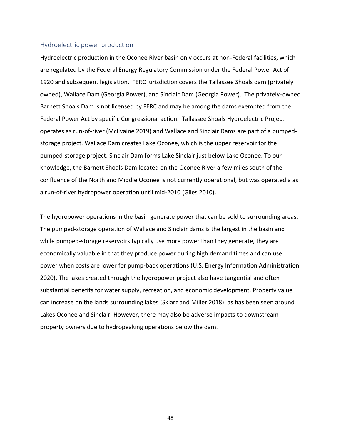#### <span id="page-48-0"></span>Hydroelectric power production

Hydroelectric production in the Oconee River basin only occurs at non-Federal facilities, which are regulated by the Federal Energy Regulatory Commission under the Federal Power Act of 1920 and subsequent legislation. FERC jurisdiction covers the Tallassee Shoals dam (privately owned), Wallace Dam (Georgia Power), and Sinclair Dam (Georgia Power). The privately-owned Barnett Shoals Dam is not licensed by FERC and may be among the dams exempted from the Federal Power Act by specific Congressional action. Tallassee Shoals Hydroelectric Project operates as run-of-river (McIlvaine 2019) and Wallace and Sinclair Dams are part of a pumpedstorage project. Wallace Dam creates Lake Oconee, which is the upper reservoir for the pumped-storage project. Sinclair Dam forms Lake Sinclair just below Lake Oconee. To our knowledge, the Barnett Shoals Dam located on the Oconee River a few miles south of the confluence of the North and Middle Oconee is not currently operational, but was operated a as a run-of-river hydropower operation until mid-2010 (Giles 2010).

The hydropower operations in the basin generate power that can be sold to surrounding areas. The pumped-storage operation of Wallace and Sinclair dams is the largest in the basin and while pumped-storage reservoirs typically use more power than they generate, they are economically valuable in that they produce power during high demand times and can use power when costs are lower for pump-back operations (U.S. Energy Information Administration 2020). The lakes created through the hydropower project also have tangential and often substantial benefits for water supply, recreation, and economic development. Property value can increase on the lands surrounding lakes (Sklarz and Miller 2018), as has been seen around Lakes Oconee and Sinclair. However, there may also be adverse impacts to downstream property owners due to hydropeaking operations below the dam.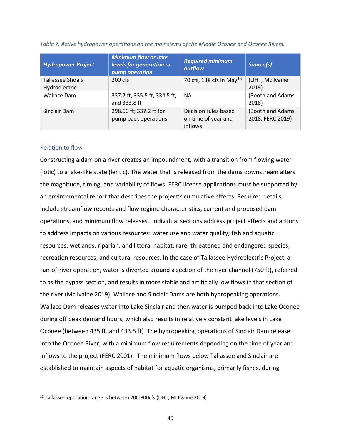| <b>Hydropower Project</b>                | <b>Minimum flow or lake</b><br>levels for generation or<br>pump operation | <b>Required minimum</b><br>outflow                     | Source(s)                            |
|------------------------------------------|---------------------------------------------------------------------------|--------------------------------------------------------|--------------------------------------|
| <b>Tallassee Shoals</b><br>Hydroelectric | 200 cfs                                                                   | 70 cfs, 138 cfs in May <sup>13</sup>                   | (LIHI, McIlvaine<br>2019)            |
| <b>Wallace Dam</b>                       | 337.2 ft, 335.5 ft, 334.5 ft,<br>and 333.8 ft                             | <b>NA</b>                                              | (Booth and Adams<br>2018)            |
| Sinclair Dam                             | 298.66 ft; 337.2 ft for<br>pump back operations                           | Decision rules based<br>on time of year and<br>inflows | (Booth and Adams<br>2018, FERC 2019) |

<span id="page-49-1"></span>*Table 7. Active hydropower operations on the mainstems of the Middle Oconee and Oconee Rivers.* 

## <span id="page-49-0"></span>Relation to flow

Constructing a dam on a river creates an impoundment, with a transition from flowing water (lotic) to a lake-like state (lentic). The water that is released from the dams downstream alters the magnitude, timing, and variability of flows. FERC license applications must be supported by an environmental report that describes the project's cumulative effects. Required details include streamflow records and flow regime characteristics, current and proposed dam operations, and minimum flow releases. Individual sections address project effects and actions to address impacts on various resources: water use and water quality; fish and aquatic resources; wetlands, riparian, and littoral habitat; rare, threatened and endangered species; recreation resources; and cultural resources. In the case of Tallassee Hydroelectric Project, a run-of-river operation, water is diverted around a section of the river channel (750 ft), referred to as the bypass section, and results in more stable and artificially low flows in that section of the river (McIlvaine 2019). Wallace and Sinclair Dams are both hydropeaking operations. Wallace Dam releases water into Lake Sinclair and then water is pumped back into Lake Oconee during off peak demand hours, which also results in relatively constant lake levels in Lake Oconee (between 435 ft. and 433.5 ft). The hydropeaking operations of Sinclair Dam release into the Oconee River, with a minimum flow requirements depending on the time of year and inflows to the project (FERC 2001). The minimum flows below Tallassee and Sinclair are established to maintain aspects of habitat for aquatic organisms, primarily fishes, during

<sup>&</sup>lt;sup>13</sup> Tallassee operation range is between 200-800cfs (LIHI, McIlvaine 2019)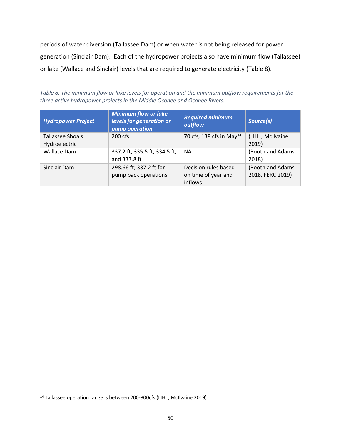periods of water diversion (Tallassee Dam) or when water is not being released for power generation (Sinclair Dam). Each of the hydropower projects also have minimum flow (Tallassee) or lake (Wallace and Sinclair) levels that are required to generate electricity [\(Table 8\)](#page-50-0).

<span id="page-50-0"></span>*Table 8. The minimum flow or lake levels for operation and the minimum outflow requirements for the three active hydropower projects in the Middle Oconee and Oconee Rivers.*

| <b>Hydropower Project</b>                | <b>Minimum flow or lake</b><br>levels for generation or<br>pump operation | <b>Required minimum</b><br>outflow                     | Source(s)                            |
|------------------------------------------|---------------------------------------------------------------------------|--------------------------------------------------------|--------------------------------------|
| <b>Tallassee Shoals</b><br>Hydroelectric | $200 \text{ cfs}$                                                         | 70 cfs, 138 cfs in May <sup>14</sup>                   | (LIHI, McIlvaine<br>2019)            |
| <b>Wallace Dam</b>                       | 337.2 ft, 335.5 ft, 334.5 ft,<br>and 333.8 ft                             | <b>NA</b>                                              | (Booth and Adams<br>2018)            |
| Sinclair Dam                             | 298.66 ft; 337.2 ft for<br>pump back operations                           | Decision rules based<br>on time of year and<br>inflows | (Booth and Adams<br>2018, FERC 2019) |

<sup>14</sup> Tallassee operation range is between 200-800cfs (LIHI , McIlvaine 2019)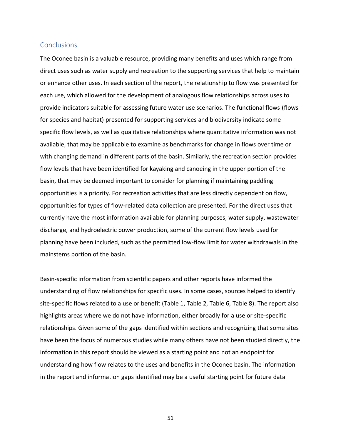## <span id="page-51-0"></span>**Conclusions**

The Oconee basin is a valuable resource, providing many benefits and uses which range from direct uses such as water supply and recreation to the supporting services that help to maintain or enhance other uses. In each section of the report, the relationship to flow was presented for each use, which allowed for the development of analogous flow relationships across uses to provide indicators suitable for assessing future water use scenarios. The functional flows (flows for species and habitat) presented for supporting services and biodiversity indicate some specific flow levels, as well as qualitative relationships where quantitative information was not available, that may be applicable to examine as benchmarks for change in flows over time or with changing demand in different parts of the basin. Similarly, the recreation section provides flow levels that have been identified for kayaking and canoeing in the upper portion of the basin, that may be deemed important to consider for planning if maintaining paddling opportunities is a priority. For recreation activities that are less directly dependent on flow, opportunities for types of flow-related data collection are presented. For the direct uses that currently have the most information available for planning purposes, water supply, wastewater discharge, and hydroelectric power production, some of the current flow levels used for planning have been included, such as the permitted low-flow limit for water withdrawals in the mainstems portion of the basin.

Basin-specific information from scientific papers and other reports have informed the understanding of flow relationships for specific uses. In some cases, sources helped to identify site-specific flows related to a use or benefit [\(Table 1,](#page-27-0) [Table 2,](#page-34-0) [Table 6,](#page-44-0) [Table 8\)](#page-50-0). The report also highlights areas where we do not have information, either broadly for a use or site-specific relationships. Given some of the gaps identified within sections and recognizing that some sites have been the focus of numerous studies while many others have not been studied directly, the information in this report should be viewed as a starting point and not an endpoint for understanding how flow relates to the uses and benefits in the Oconee basin. The information in the report and information gaps identified may be a useful starting point for future data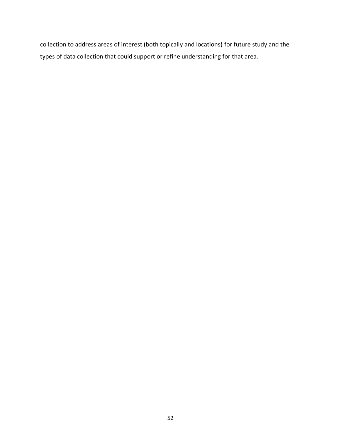collection to address areas of interest (both topically and locations) for future study and the types of data collection that could support or refine understanding for that area.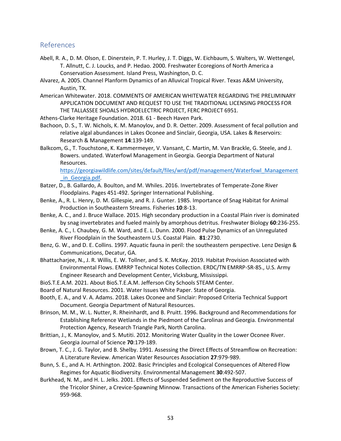# <span id="page-53-0"></span>References

- Abell, R. A., D. M. Olson, E. Dinerstein, P. T. Hurley, J. T. Diggs, W. Eichbaum, S. Walters, W. Wettengel, T. Allnutt, C. J. Loucks, and P. Hedao. 2000. Freshwater Ecoregions of North America a Conservation Assessment. Island Press, Washington, D. C.
- Alvarez, A. 2005. Channel Planform Dynamics of an Alluvical Tropical River. Texas A&M University, Austin, TX.
- American Whitewater. 2018. COMMENTS OF AMERICAN WHITEWATER REGARDING THE PRELIMINARY APPLICATION DOCUMENT AND REQUEST TO USE THE TRADITIONAL LICENSING PROCESS FOR THE TALLASSEE SHOALS HYDROELECTRIC PROJECT, FERC PROJECT 6951.
- Athens-Clarke Heritage Foundation. 2018. 61 Beech Haven Park.
- Bachoon, D. S., T. W. Nichols, K. M. Manoylov, and D. R. Oetter. 2009. Assessment of fecal pollution and relative algal abundances in Lakes Oconee and Sinclair, Georgia, USA. Lakes & Reservoirs: Research & Management **14**:139-149.
- Balkcom, G., T. Touchstone, K. Kammermeyer, V. Vansant, C. Martin, M. Van Brackle, G. Steele, and J. Bowers. undated. Waterfowl Management in Georgia. Georgia Department of Natural Resources.

[https://georgiawildlife.com/sites/default/files/wrd/pdf/management/Waterfowl\\_Management](https://georgiawildlife.com/sites/default/files/wrd/pdf/management/Waterfowl_Management_in_Georgia.pdf) [\\_in\\_Georgia.pdf.](https://georgiawildlife.com/sites/default/files/wrd/pdf/management/Waterfowl_Management_in_Georgia.pdf)

- Batzer, D., B. Gallardo, A. Boulton, and M. Whiles. 2016. Invertebrates of Temperate-Zone River Floodplains. Pages 451-492. Springer International Publishing.
- Benke, A., R. L. Henry, D. M. Gillespie, and R. J. Gunter. 1985. Importance of Snag Habitat for Animal Production in Southeastern Streams. Fisheries **10**:8-13.
- Benke, A. C., and J. Bruce Wallace. 2015. High secondary production in a Coastal Plain river is dominated by snag invertebrates and fueled mainly by amorphous detritus. Freshwater Biology **60**:236-255.
- Benke, A. C., I. Chaubey, G. M. Ward, and E. L. Dunn. 2000. Flood Pulse Dynamics of an Unregulated River Floodplain in the Southeastern U.S. Coastal Plain. **81**:2730.
- Benz, G. W., and D. E. Collins. 1997. Aquatic fauna in peril: the southeastern perspective. Lenz Design & Communications, Decatur, GA.
- Bhattacharjee, N., J. R. Willis, E. W. Tollner, and S. K. McKay. 2019. Habitat Provision Associated with Environmental Flows. EMRRP Technical Notes Collection. ERDC/TN EMRRP-SR-85., U.S. Army Engineer Research and Development Center, Vicksburg, Mississippi.
- BioS.T.E.A.M. 2021. About BioS.T.E.A.M. Jefferson City Schools STEAM Center.
- Board of Natural Resources. 2001. Water Issues White Paper. State of Georgia.
- Booth, E. A., and V. A. Adams. 2018. Lakes Oconee and Sinclair: Proposed Criteria Technical Support Document. Georgia Department of Natural Resources.
- Brinson, M. M., W. L. Nutter, R. Rheinhardt, and B. Pruitt. 1996. Background and Recommendations for Establishing Reference Wetlands in the Piedmont of the Carolinas and Georgia. Environmental Protection Agency, Research Triangle Park, North Carolina.
- Brittian, J., K. Manoylov, and S. Mutiti. 2012. Monitoring Water Quality in the Lower Oconee River. Georgia Journal of Science **70**:179-189.
- Brown, T. C., J. G. Taylor, and B. Shelby. 1991. Assessing the Direct Effects of Streamflow on Recreation: A Literature Review. American Water Resources Association **27**:979-989.
- Bunn, S. E., and A. H. Arthington. 2002. Basic Principles and Ecological Consequences of Altered Flow Regimes for Aquatic Biodiversity. Environmental Management **30**:492-507.
- Burkhead, N. M., and H. L. Jelks. 2001. Effects of Suspended Sediment on the Reproductive Success of the Tricolor Shiner, a Crevice-Spawning Minnow. Transactions of the American Fisheries Society: 959-968.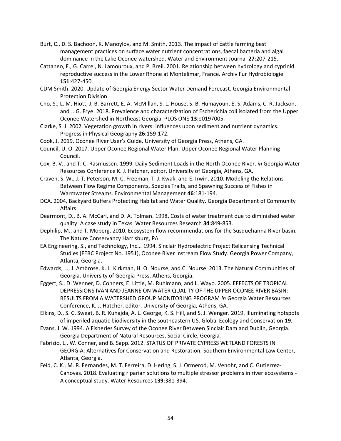- Burt, C., D. S. Bachoon, K. Manoylov, and M. Smith. 2013. The impact of cattle farming best management practices on surface water nutrient concentrations, faecal bacteria and algal dominance in the Lake Oconee watershed. Water and Environment Journal **27**:207-215.
- Cattaneo, F., G. Carrel, N. Lamouroux, and P. Breil. 2001. Relationship between hydrology and cyprinid reproductive success in the Lower Rhone at Montelimar, France. Archiv Fur Hydrobiologie **151**:427-450.
- CDM Smith. 2020. Update of Georgia Energy Sector Water Demand Forecast. Georgia Environmental Protection Division.
- Cho, S., L. M. Hiott, J. B. Barrett, E. A. McMillan, S. L. House, S. B. Humayoun, E. S. Adams, C. R. Jackson, and J. G. Frye. 2018. Prevalence and characterization of Escherichia coli isolated from the Upper Oconee Watershed in Northeast Georgia. PLOS ONE **13**:e0197005.
- Clarke, S. J. 2002. Vegetation growth in rivers: influences upon sediment and nutrient dynamics. Progress in Physical Geography **26**:159-172.
- Cook, J. 2019. Oconee River User's Guide. University of Georgia Press, Athens, GA.
- Council, U. O. 2017. Upper Oconee Regional Water Plan. Upper Oconee Regional Water Planning Council.
- Cox, B. V., and T. C. Rasmussen. 1999. Daily Sediment Loads in the North Oconee River. *in* Georgia Water Resources Conference K. J. Hatcher, editor, University of Georgia, Athens, GA.
- Craven, S. W., J. T. Peterson, M. C. Freeman, T. J. Kwak, and E. Irwin. 2010. Modeling the Relations Between Flow Regime Components, Species Traits, and Spawning Success of Fishes in Warmwater Streams. Environmental Management **46**:181-194.
- DCA. 2004. Backyard Buffers Protecting Habitat and Water Quality. Georgia Department of Community Affairs.
- Dearmont, D., B. A. McCarl, and D. A. Tolman. 1998. Costs of water treatment due to diminished water quality: A case study in Texas. Water Resources Research **34**:849-853.
- Dephilip, M., and T. Moberg. 2010. Ecosystem flow recommendations for the Susquehanna River basin. The Nature Conservancy Harrisburg, PA.
- EA Engineering, S., and Technology, Inc.,. 1994. Sinclair Hydroelectric Project Relicensing Technical Studies (FERC Project No. 1951), Oconee River Instream Flow Study. Georgia Power Company, Atlanta, Georgia.
- Edwards, L., J. Ambrose, K. L. Kirkman, H. O. Nourse, and C. Nourse. 2013. The Natural Communities of Georgia. University of Georgia Press, Athens, Georgia.
- Eggert, S., D. Wenner, D. Conners, E. Little, M. Ruhlmann, and L. Wayo. 2005. EFFECTS OF TROPICAL DEPRESSIONS IVAN AND JEANNE ON WATER QUALITY OF THE UPPER OCONEE RIVER BASIN: RESULTS FROM A WATERSHED GROUP MONITORING PROGRAM *in* Georgia Water Resources Conference, K. J. Hatcher, editor, University of Georgia, Athens, GA.
- Elkins, D., S. C. Sweat, B. R. Kuhajda, A. L. George, K. S. Hill, and S. J. Wenger. 2019. Illuminating hotspots of imperiled aquatic biodiversity in the southeastern US. Global Ecology and Conservation **19**.
- Evans, J. W. 1994. A Fisheries Survey of the Oconee River Between Sinclair Dam and Dublin, Georgia. Georgia Department of Natural Resources, Social Circle, Georgia.
- Fabrizio, L., W. Conner, and B. Sapp. 2012. STATUS OF PRIVATE CYPRESS WETLAND FORESTS IN GEORGIA: Alternatives for Conservation and Restoration. Southern Environmental Law Center, Atlanta, Georgia.
- Feld, C. K., M. R. Fernandes, M. T. Ferreira, D. Hering, S. J. Ormerod, M. Venohr, and C. Gutierrez-Canovas. 2018. Evaluating riparian solutions to multiple stressor problems in river ecosystems - A conceptual study. Water Resources **139**:381-394.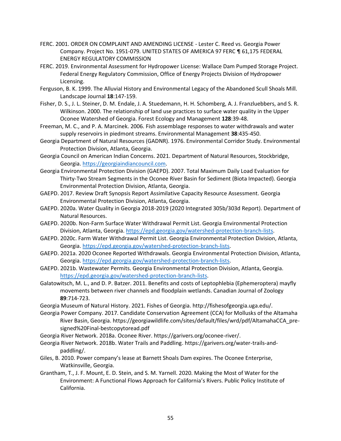- FERC. 2001. ORDER ON COMPLAINT AND AMENDING LICENSE Lester C. Reed vs. Georgia Power Company. Project No. 1951-079. UNITED STATES OF AMERICA 97 FERC ¶ 61,175 FEDERAL ENERGY REGULATORY COMMISSION
- FERC. 2019. Environmental Assessment for Hydropower License: Wallace Dam Pumped Storage Project. Federal Energy Regulatory Commission, Office of Energy Projects Division of Hydropower Licensing.
- Ferguson, B. K. 1999. The Alluvial History and Environmental Legacy of the Abandoned Scull Shoals Mill. Landscape Journal **18**:147-159.
- Fisher, D. S., J. L. Steiner, D. M. Endale, J. A. Stuedemann, H. H. Schomberg, A. J. Franzluebbers, and S. R. Wilkinson. 2000. The relationship of land use practices to surface water quality in the Upper Oconee Watershed of Georgia. Forest Ecology and Management **128**:39-48.
- Freeman, M. C., and P. A. Marcinek. 2006. Fish assemblage responses to water withdrawals and water supply reservoirs in piedmont streams. Environmental Management **38**:435-450.
- Georgia Department of Natural Resources (GADNR). 1976. Environmental Corridor Study. Environmental Protection Division, Atlanta, Georgia.
- Georgia Council on American Indian Concerns. 2021. Department of Natural Resources, Stockbridge, Georgia. [https://georgiaindiancouncil.com.](https://georgiaindiancouncil.com/)
- Georgia Environmental Protection Division (GAEPD). 2007. Total Maximum Daily Load Evaluation for Thirty-Two Stream Segments in the Oconee River Basin for Sediment (Biota Impacted). Georgia Environmental Protection Division, Atlanta, Georgia.
- GAEPD. 2017. Review Draft Synopsis Report Assimilative Capacity Resource Assessment. Georgia Environmental Protection Division, Atlanta, Georgia.
- GAEPD. 2020a. Water Quality in Georgia 2018-2019 (2020 Integrated 305b/303d Report). Department of Natural Resources.
- GAEPD. 2020b. Non-Farm Surface Water Withdrawal Permit List. Georgia Environmental Protection Division, Atlanta, Georgia. [https://epd.georgia.gov/watershed-protection-branch-lists.](https://epd.georgia.gov/watershed-protection-branch-lists)
- GAEPD. 2020c. Farm Water Withdrawal Permit List. Georgia Environmental Protection Division, Atlanta, Georgia. [https://epd.georgia.gov/watershed-protection-branch-lists.](https://epd.georgia.gov/watershed-protection-branch-lists)
- GAEPD. 2021a. 2020 Oconee Reported Withdrawals. Georgia Environmental Protection Division, Atlanta, Georgia. [https://epd.georgia.gov/watershed-protection-branch-lists.](https://epd.georgia.gov/watershed-protection-branch-lists)
- GAEPD. 2021b. Wastewater Permits. Georgia Environmental Protection Division, Atlanta, Georgia. [https://epd.georgia.gov/watershed-protection-branch-lists.](https://epd.georgia.gov/watershed-protection-branch-lists)
- Galatowitsch, M. L., and D. P. Batzer. 2011. Benefits and costs of Leptophlebia (Ephemeroptera) mayfly movements between river channels and floodplain wetlands. Canadian Journal of Zoology **89**:714-723.
- Georgia Museum of Natural History. 2021. Fishes of Georgia. http://fishesofgeorgia.uga.edu/.
- Georgia Power Company. 2017. Candidate Conservation Agreement (CCA) for Mollusks of the Altamaha River Basin, Georgia. https://georgiawildlife.com/sites/default/files/wrd/pdf/AltamahaCCA\_presigned%20Final-bestcopytoread.pdf
- Georgia River Network. 2018a. Oconee River. https://garivers.org/oconee-river/.
- Georgia River Network. 2018b. Water Trails and Paddling. https://garivers.org/water-trails-andpaddling/.
- Giles, B. 2010. Power company's lease at Barnett Shoals Dam expires. The Oconee Enterprise, Watkinsville, Georgia.
- Grantham, T., J. F. Mount, E. D. Stein, and S. M. Yarnell. 2020. Making the Most of Water for the Environment: A Functional Flows Approach for California's Rivers. Public Policy Institute of California.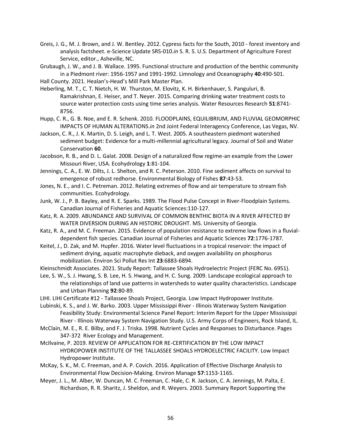Greis, J. G., M. J. Brown, and J. W. Bentley. 2012. Cypress facts for the South, 2010 - forest inventory and analysis factsheet. e-Science Update SRS-010.*in* S. R. S. U.S. Department of Agriculture Forest Service, editor., Asheville, NC.

Grubaugh, J. W., and J. B. Wallace. 1995. Functional structure and production of the benthic community in a Piedmont river: 1956-1957 and 1991-1992. Limnology and Oceanography **40**:490-501.

Hall County. 2021. Healan's-Head's Mill Park Master Plan.

Heberling, M. T., C. T. Nietch, H. W. Thurston, M. Elovitz, K. H. Birkenhauer, S. Panguluri, B. Ramakrishnan, E. Heiser, and T. Neyer. 2015. Comparing drinking water treatment costs to source water protection costs using time series analysis. Water Resources Research **51**:8741- 8756.

Hupp, C. R., G. B. Noe, and E. R. Schenk. 2010. FLOODPLAINS, EQUILIBRIUM, AND FLUVIAL GEOMORPHIC IMPACTS OF HUMAN ALTERATIONS.*in* 2nd Joint Federal Interagency Conference, Las Vegas, NV.

Jackson, C. R., J. K. Martin, D. S. Leigh, and L. T. West. 2005. A southeastern piedmont watershed sediment budget: Evidence for a multi-millennial agricultural legacy. Journal of Soil and Water Conservation **60**.

Jacobson, R. B., and D. L. Galat. 2008. Design of a naturalized flow regime-an example from the Lower Missouri River, USA. Ecohydrology **1**:81-104.

Jennings, C. A., E. W. Dilts, J. L. Shelton, and R. C. Peterson. 2010. Fine sediment affects on survival to emergence of robust redhorse. Environmental Biology of Fishes **87**:43-53.

Jones, N. E., and I. C. Petreman. 2012. Relating extremes of flow and air temperature to stream fish communities. Ecohydrology.

Junk, W. J., P. B. Bayley, and R. E. Sparks. 1989. The Flood Pulse Concept in River-Floodplain Systems. Canadian Journal of Fisheries and Aquatic Sciences:110-127.

Katz, R. A. 2009. ABUNDANCE AND SURVIVAL OF COMMON BENTHIC BIOTA IN A RIVER AFFECTED BY WATER DIVERSION DURING AN HISTORIC DROUGHT. MS. University of Georgia.

Katz, R. A., and M. C. Freeman. 2015. Evidence of population resistance to extreme low flows in a fluvialdependent fish species. Canadian Journal of Fisheries and Aquatic Sciences **72**:1776-1787.

Keitel, J., D. Zak, and M. Hupfer. 2016. Water level fluctuations in a tropical reservoir: the impact of sediment drying, aquatic macrophyte dieback, and oxygen availability on phosphorus mobilization. Environ Sci Pollut Res Int **23**:6883-6894.

Kleinschmidt Associates. 2021. Study Report: Tallassee Shoals Hydroelectric Project (FERC No. 6951).

Lee, S. W., S. J. Hwang, S. B. Lee, H. S. Hwang, and H. C. Sung. 2009. Landscape ecological approach to the relationships of land use patterns in watersheds to water quality characteristics. Landscape and Urban Planning **92**:80-89.

LIHI. LIHI Certificate #12 - Tallassee Shoals Project, Georgia. Low Impact Hydropower Institute.

Lubinski, K. S., and J. W. Barko. 2003. Upper Mississippi River - Illinois Waterway System Navigation Feasibility Study: Environmental Science Panel Report: Interim Report for the Upper Mississippi River - Illinois Waterway System Navigation Study. U.S. Army Corps of Engineers, Rock Island, IL.

McClain, M. E., R. E. Bilby, and F. J. Triska. 1998. Nutrient Cycles and Responses to Disturbance. Pages 347-372 River Ecology and Management.

McIlvaine, P. 2019. REVIEW OF APPLICATION FOR RE-CERTIFICATION BY THE LOW IMPACT HYDROPOWER INSTITUTE OF THE TALLASSEE SHOALS HYDROELECTRIC FACILITY. Low Impact Hydropower Institute.

McKay, S. K., M. C. Freeman, and A. P. Covich. 2016. Application of Effective Discharge Analysis to Environmental Flow Decision-Making. Environ Manage **57**:1153-1165.

Meyer, J. L., M. Alber, W. Duncan, M. C. Freeman, C. Hale, C. R. Jackson, C. A. Jennings, M. Palta, E. Richardson, R. R. Sharitz, J. Sheldon, and R. Weyers. 2003. Summary Report Supporting the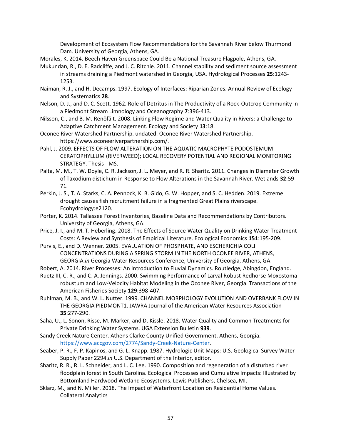Development of Ecosystem Flow Recommendations for the Savannah River below Thurmond Dam. University of Georgia, Athens, GA.

- Morales, K. 2014. Beech Haven Greenspace Could Be a National Treasure Flagpole, Athens, GA.
- Mukundan, R., D. E. Radcliffe, and J. C. Ritchie. 2011. Channel stability and sediment source assessment in streams draining a Piedmont watershed in Georgia, USA. Hydrological Processes **25**:1243- 1253.
- Naiman, R. J., and H. Decamps. 1997. Ecology of Interfaces: Riparian Zones. Annual Review of Ecology and Systematics **28**.
- Nelson, D. J., and D. C. Scott. 1962. Role of Detritus in The Productivity of a Rock-Outcrop Community in a Piedmont Stream Limnology and Oceanography **7**:396-413.
- Nilsson, C., and B. M. Renöfält. 2008. Linking Flow Regime and Water Quality in Rivers: a Challenge to Adaptive Catchment Management. Ecology and Society **13**:18.
- Oconee River Watershed Partnership. undated. Oconee River Watershed Partnership. https://www.oconeeriverpartnership.com/.
- Pahl, J. 2009. EFFECTS OF FLOW ALTERATION ON THE AQUATIC MACROPHYTE PODOSTEMUM CERATOPHYLLUM (RIVERWEED); LOCAL RECOVERY POTENTIAL AND REGIONAL MONITORING STRATEGY. Thesis - MS.
- Palta, M. M., T. W. Doyle, C. R. Jackson, J. L. Meyer, and R. R. Sharitz. 2011. Changes in Diameter Growth of Taxodium distichum in Response to Flow Alterations in the Savannah River. Wetlands **32**:59- 71.
- Perkin, J. S., T. A. Starks, C. A. Pennock, K. B. Gido, G. W. Hopper, and S. C. Hedden. 2019. Extreme drought causes fish recruitment failure in a fragmented Great Plains riverscape. Ecohydrology:e2120.
- Porter, K. 2014. Tallassee Forest Inventories, Baseline Data and Recommendations by Contributors. University of Georgia, Athens, GA.
- Price, J. I., and M. T. Heberling. 2018. The Effects of Source Water Quality on Drinking Water Treatment Costs: A Review and Synthesis of Empirical Literature. Ecological Economics **151**:195-209.
- Purvis, E., and D. Wenner. 2005. EVALUATION OF PHOSPHATE, AND ESCHERICHIA COLI CONCENTRATIONS DURING A SPRING STORM IN THE NORTH OCONEE RIVER, ATHENS, GEORGIA.*in* Georgia Water Resources Conference, University of Georgia, Athens, GA.
- Robert, A. 2014. River Processes: An Introduction to Fluvial Dynamics. Routledge, Abingdon, England.
- Ruetz III, C. R., and C. A. Jennings. 2000. Swimming Performance of Larval Robust Redhorse Moxostoma robustum and Low-Velocity Habitat Modeling in the Oconee River, Georgia. Transactions of the American Fisheries Society **129**:398-407.
- Ruhlman, M. B., and W. L. Nutter. 1999. CHANNEL MORPHOLOGY EVOLUTION AND OVERBANK FLOW IN THE GEORGIA PIEDMONT1. JAWRA Journal of the American Water Resources Association **35**:277-290.
- Saha, U., L. Sonon, Risse, M. Marker, and D. Kissle. 2018. Water Quality and Common Treatments for Private Drinking Water Systems. UGA Extension Bulletin **939**.
- Sandy Creek Nature Center. Athens Clarke County Unified Government. Athens, Georgia. [https://www.accgov.com/2774/Sandy-Creek-Nature-Center.](https://www.accgov.com/2774/Sandy-Creek-Nature-Center)
- Seaber, P. R., F. P. Kapinos, and G. L. Knapp. 1987. Hydrologic Unit Maps: U.S. Geological Survey Water-Supply Paper 2294.*in* U.S. Department of the Interior, editor.
- Sharitz, R. R., R. L. Schneider, and L. C. Lee. 1990. Composition and regeneration of a disturbed river floodplain forest in South Carolina. Ecological Processes and Cumulative Impacts: Illustrated by Bottomland Hardwood Wetland Ecosystems. Lewis Publishers, Chelsea, MI.
- Sklarz, M., and N. Miller. 2018. The Impact of Waterfront Location on Residential Home Values. Collateral Analytics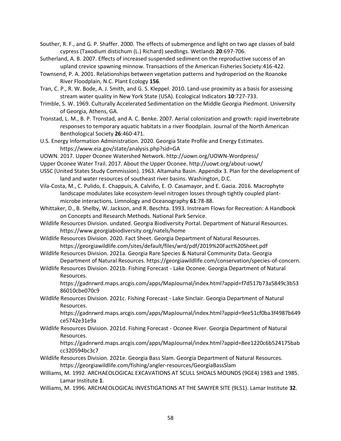Souther, R. F., and G. P. Shaffer. 2000. The effects of submergence and light on two age classes of bald cypress (Taxodium distichum (L.) Richard) seedlings. Wetlands **20**:697-706.

- Sutherland, A. B. 2007. Effects of increased suspended sediment on the reproductive success of an upland crevice spawning minnow. Transactions of the American Fisheries Society:416-422.
- Townsend, P. A. 2001. Relationships between vegetation patterns and hydroperiod on the Roanoke River Floodplain, N.C. Plant Ecology **156**.
- Tran, C. P., R. W. Bode, A. J. Smith, and G. S. Kleppel. 2010. Land-use proximity as a basis for assessing stream water quality in New York State (USA). Ecological Indicators **10**:727-733.
- Trimble, S. W. 1969. Culturally Accelerated Sedimentation on the Middle Georgia Piedmont. University of Georgia, Athens, GA.
- Tronstad, L. M., B. P. Tronstad, and A. C. Benke. 2007. Aerial colonization and growth: rapid invertebrate responses to temporary aquatic habitats in a river floodplain. Journal of the North American Benthological Society **26**:460-471.
- U.S. Energy Information Administration. 2020. Georgia State Profile and Energy Estimates. https://www.eia.gov/state/analysis.php?sid=GA
- UOWN. 2017. Upper Oconee Watershed Network. http://uown.org/UOWN-Wordpress/
- Upper Oconee Water Trail. 2017. About the Upper Oconee. http://uowt.org/about-uowt/
- USSC (United States Study Commission). 1963. Altamaha Basin. Appendix 3. Plan for the development of land and water resources of southeast river basins. Washington, D.C.
- Vila-Costa, M., C. Pulido, E. Chappuis, A. Calviño, E. O. Casamayor, and E. Gacia. 2016. Macrophyte landscape modulates lake ecosystem-level nitrogen losses through tightly coupled plantmicrobe interactions. Limnology and Oceanography **61**:78-88.
- Whittaker, D., B. Shelby, W. Jackson, and R. Beschta. 1993. Instream Flows for Recreation: A Handbook on Concepts and Research Methods. National Park Service.
- Wildlife Resources Division. undated. Georgia Biodiversity Portal. Department of Natural Resources. https://www.georgiabiodiversity.org/natels/home
- Wildlife Resources Division. 2020. Fact Sheet. Georgia Department of Natural Resources. https://georgiawildlife.com/sites/default/files/wrd/pdf/2019%20Fact%20Sheet.pdf
- Wildlife Resources Division. 2021a. Georgia Rare Species & Natural Community Data. Georgia Department of Natural Resources. https://georgiawildlife.com/conservation/species-of-concern.
- Wildlife Resources Division. 2021b. Fishing Forecast Lake Oconee. Georgia Department of Natural Resources.

https://gadnrwrd.maps.arcgis.com/apps/MapJournal/index.html?appid=f7d517b73a5849c3b53 86010cbe070c9

Wildlife Resources Division. 2021c. Fishing Forecast - Lake Sinclair. Georgia Department of Natural Resources.

https://gadnrwrd.maps.arcgis.com/apps/MapJournal/index.html?appid=9ee51cf0ba3f4987b649 ce5742e31e9a

Wildlife Resources Division. 2021d. Fishing Forecast - Oconee River. Georgia Department of Natural Resources.

https://gadnrwrd.maps.arcgis.com/apps/MapJournal/index.html?appid=8ee1220c6b524175bab cc320594bc3c7

- Wildlife Resources Division. 2021e. Georgia Bass Slam. Georgia Department of Natural Resources. https://georgiawildlife.com/fishing/angler-resources/GeorgiaBassSlam
- Williams, M. 1992. ARCHAEOLOGICAL EXCAVATIONS AT SCULL SHOALS MOUNDS (9GE4) 1983 and 1985. Lamar Institute **1**.
- Williams, M. 1996. ARCHAEOLOGICAL INVESTIGATIONS AT THE SAWYER SITE (9LS1). Lamar Institute **32**.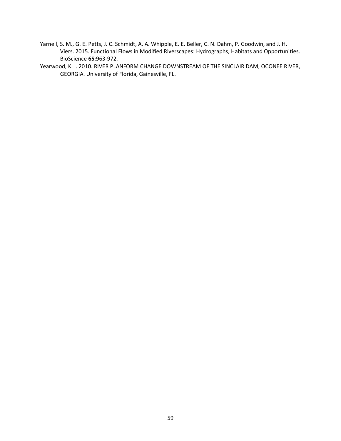- Yarnell, S. M., G. E. Petts, J. C. Schmidt, A. A. Whipple, E. E. Beller, C. N. Dahm, P. Goodwin, and J. H. Viers. 2015. Functional Flows in Modified Riverscapes: Hydrographs, Habitats and Opportunities. BioScience **65**:963-972.
- Yearwood, K. I. 2010. RIVER PLANFORM CHANGE DOWNSTREAM OF THE SINCLAIR DAM, OCONEE RIVER, GEORGIA. University of Florida, Gainesville, FL.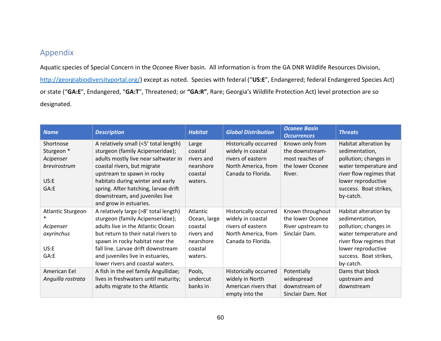# Appendix

Aquatic species of Special Concern in the Oconee River basin. All information is from the GA DNR Wildlife Resources Division, <http://georgiabiodiversityportal.org/>) except as noted. Species with federal ("**US:E**", Endangered; federal Endangered Species Act) or state ("**GA:E**", Endangered, "**GA:T**", Threatened; or **"GA:R"**, Rare; Georgia's Wildlife Protection Act) level protection are so designated.

<span id="page-60-0"></span>

| <b>Name</b>       | <b>Description</b>                    | <b>Habitat</b> | <b>Global Distribution</b> | <b>Oconee Basin</b><br><b>Occurrences</b> | <b>Threats</b>          |
|-------------------|---------------------------------------|----------------|----------------------------|-------------------------------------------|-------------------------|
| Shortnose         | A relatively small (<5' total length) | Large          | Historically occurred      | Known only from                           | Habitat alteration by   |
| Sturgeon *        | sturgeon (family Acipenseridae);      | coastal        | widely in coastal          | the downstream-                           | sedimentation,          |
| Acipenser         | adults mostly live near saltwater in  | rivers and     | rivers of eastern          | most reaches of                           | pollution; changes in   |
| brevirostrum      | coastal rivers, but migrate           | nearshore      | North America, from        | the lower Oconee                          | water temperature and   |
|                   | upstream to spawn in rocky            | coastal        | Canada to Florida.         | River.                                    | river flow regimes that |
| US: E             | habitats during winter and early      | waters.        |                            |                                           | lower reproductive      |
| GA:E              | spring. After hatching, larvae drift  |                |                            |                                           | success. Boat strikes,  |
|                   | downstream, and juveniles live        |                |                            |                                           | by-catch.               |
|                   | and grow in estuaries.                |                |                            |                                           |                         |
| Atlantic Sturgeon | A relatively large (>8' total length) | Atlantic       | Historically occurred      | Known throughout                          | Habitat alteration by   |
|                   | sturgeon (family Acipenseridae);      | Ocean, large   | widely in coastal          | the lower Oconee                          | sedimentation,          |
| Acipenser         | adults live in the Atlantic Ocean     | coastal        | rivers of eastern          | River upstream to                         | pollution; changes in   |
| oxyrinchus        | but return to their natal rivers to   | rivers and     | North America, from        | Sinclair Dam.                             | water temperature and   |
|                   | spawn in rocky habitat near the       | nearshore      | Canada to Florida.         |                                           | river flow regimes that |
| US:E              | fall line. Larvae drift downstream    | coastal        |                            |                                           | lower reproductive      |
| GA:E              | and juveniles live in estuaries,      | waters.        |                            |                                           | success. Boat strikes,  |
|                   | lower rivers and coastal waters.      |                |                            |                                           | by-catch.               |
| American Eel      | A fish in the eel family Angullidae;  | Pools,         | Historically occurred      | Potentially                               | Dams that block         |
| Anguilla rostrata | lives in freshwaters until maturity;  | undercut       | widely in North            | widespread                                | upstream and            |
|                   | adults migrate to the Atlantic        | banks in       | American rivers that       | downstream of                             | downstream              |
|                   |                                       |                | empty into the             | Sinclair Dam. Not                         |                         |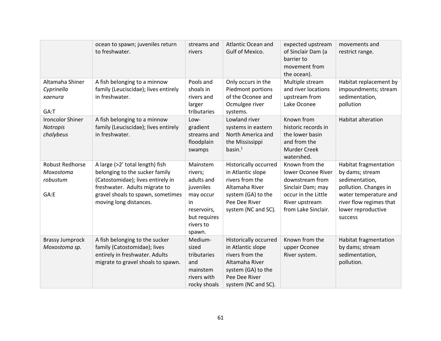|                                                         | ocean to spawn; juveniles return<br>to freshwater.                                                                                                                                                     | streams and<br>rivers                                                                                                   | <b>Atlantic Ocean and</b><br>Gulf of Mexico.                                                                                                         | expected upstream<br>of Sinclair Dam (a<br>barrier to<br>movement from<br>the ocean).                                                        | movements and<br>restrict range.                                                                                                                                         |
|---------------------------------------------------------|--------------------------------------------------------------------------------------------------------------------------------------------------------------------------------------------------------|-------------------------------------------------------------------------------------------------------------------------|------------------------------------------------------------------------------------------------------------------------------------------------------|----------------------------------------------------------------------------------------------------------------------------------------------|--------------------------------------------------------------------------------------------------------------------------------------------------------------------------|
| Altamaha Shiner<br>Cyprinella<br>xaenura<br>GA:T        | A fish belonging to a minnow<br>family (Leuciscidae); lives entirely<br>in freshwater.                                                                                                                 | Pools and<br>shoals in<br>rivers and<br>larger<br>tributaries                                                           | Only occurs in the<br>Piedmont portions<br>of the Oconee and<br>Ocmulgee river<br>systems.                                                           | Multiple stream<br>and river locations<br>upstream from<br>Lake Oconee                                                                       | Habitat replacement by<br>impoundments; stream<br>sedimentation,<br>pollution                                                                                            |
| <b>Ironcolor Shiner</b><br>Notropis<br>chalybeus        | A fish belonging to a minnow<br>family (Leuciscidae); lives entirely<br>in freshwater.                                                                                                                 | Low-<br>gradient<br>streams and<br>floodplain<br>swamps                                                                 | Lowland river<br>systems in eastern<br>North America and<br>the Mississippi<br>basin. $1$                                                            | Known from<br>historic records in<br>the lower basin<br>and from the<br>Murder Creek<br>watershed.                                           | <b>Habitat alteration</b>                                                                                                                                                |
| <b>Robust Redhorse</b><br>Moxostoma<br>robustum<br>GA:E | A large (>2' total length) fish<br>belonging to the sucker family<br>(Catostomidae); lives entirely in<br>freshwater. Adults migrate to<br>gravel shoals to spawn, sometimes<br>moving long distances. | Mainstem<br>rivers;<br>adults and<br>juveniles<br>may occur<br>in<br>reservoirs,<br>but requires<br>rivers to<br>spawn. | <b>Historically occurred</b><br>in Atlantic slope<br>rivers from the<br>Altamaha River<br>system (GA) to the<br>Pee Dee River<br>system (NC and SC). | Known from the<br>lower Oconee River<br>downstream from<br>Sinclair Dam; may<br>occur in the Little<br>River upstream<br>from Lake Sinclair. | Habitat fragmentation<br>by dams; stream<br>sedimentation,<br>pollution. Changes in<br>water temperature and<br>river flow regimes that<br>lower reproductive<br>success |
| <b>Brassy Jumprock</b><br>Moxostoma sp.                 | A fish belonging to the sucker<br>family (Catostomidae); lives<br>entirely in freshwater. Adults<br>migrate to gravel shoals to spawn.                                                                 | Medium-<br>sized<br>tributaries<br>and<br>mainstem<br>rivers with<br>rocky shoals                                       | <b>Historically occurred</b><br>in Atlantic slope<br>rivers from the<br>Altamaha River<br>system (GA) to the<br>Pee Dee River<br>system (NC and SC). | Known from the<br>upper Oconee<br>River system.                                                                                              | Habitat fragmentation<br>by dams; stream<br>sedimentation,<br>pollution.                                                                                                 |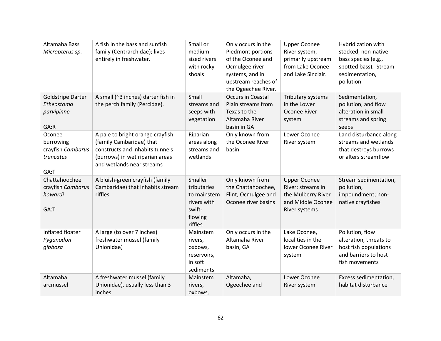| Altamaha Bass<br>Micropterus sp.                              | A fish in the bass and sunfish<br>family (Centrarchidae); lives<br>entirely in freshwater.                                                                      | Small or<br>medium-<br>sized rivers<br>with rocky<br>shoals                          | Only occurs in the<br>Piedmont portions<br>of the Oconee and<br>Ocmulgee river<br>systems, and in<br>upstream reaches of<br>the Ogeechee River. | <b>Upper Oconee</b><br>River system,<br>primarily upstream<br>from Lake Oconee<br>and Lake Sinclair. | Hybridization with<br>stocked, non-native<br>bass species (e.g.,<br>spotted bass). Stream<br>sedimentation,<br>pollution |
|---------------------------------------------------------------|-----------------------------------------------------------------------------------------------------------------------------------------------------------------|--------------------------------------------------------------------------------------|-------------------------------------------------------------------------------------------------------------------------------------------------|------------------------------------------------------------------------------------------------------|--------------------------------------------------------------------------------------------------------------------------|
| <b>Goldstripe Darter</b><br>Etheostoma<br>parvipinne<br>GA:R  | A small (~3 inches) darter fish in<br>the perch family (Percidae).                                                                                              | Small<br>streams and<br>seeps with<br>vegetation                                     | Occurs in Coastal<br>Plain streams from<br>Texas to the<br>Altamaha River<br>basin in GA                                                        | Tributary systems<br>in the Lower<br>Oconee River<br>system                                          | Sedimentation,<br>pollution, and flow<br>alteration in small<br>streams and spring<br>seeps                              |
| Oconee<br>burrowing<br>crayfish Cambarus<br>truncates<br>GA:T | A pale to bright orange crayfish<br>(family Cambaridae) that<br>constructs and inhabits tunnels<br>(burrows) in wet riparian areas<br>and wetlands near streams | Riparian<br>areas along<br>streams and<br>wetlands                                   | Only known from<br>the Oconee River<br>basin                                                                                                    | Lower Oconee<br>River system                                                                         | Land disturbance along<br>streams and wetlands<br>that destroys burrows<br>or alters streamflow                          |
| Chattahoochee<br>crayfish Cambarus<br>howardi<br>GA:T         | A bluish-green crayfish (family<br>Cambaridae) that inhabits stream<br>riffles                                                                                  | Smaller<br>tributaries<br>to mainstem<br>rivers with<br>swift-<br>flowing<br>riffles | Only known from<br>the Chattahoochee,<br>Flint, Ocmulgee and<br>Oconee river basins                                                             | <b>Upper Oconee</b><br>River: streams in<br>the Mulberry River<br>and Middle Oconee<br>River systems | Stream sedimentation,<br>pollution,<br>impoundment; non-<br>native crayfishes                                            |
| Inflated floater<br>Pyganodon<br>gibbosa                      | A large (to over 7 inches)<br>freshwater mussel (family<br>Unionidae)                                                                                           | Mainstem<br>rivers,<br>oxbows,<br>reservoirs,<br>in soft<br>sediments                | Only occurs in the<br>Altamaha River<br>basin, GA                                                                                               | Lake Oconee,<br>localities in the<br>lower Oconee River<br>system                                    | Pollution, flow<br>alteration, threats to<br>host fish populations<br>and barriers to host<br>fish movements             |
| Altamaha<br>arcmussel                                         | A freshwater mussel (family<br>Unionidae), usually less than 3<br>inches                                                                                        | Mainstem<br>rivers,<br>oxbows,                                                       | Altamaha,<br>Ogeechee and                                                                                                                       | Lower Oconee<br>River system                                                                         | Excess sedimentation,<br>habitat disturbance                                                                             |